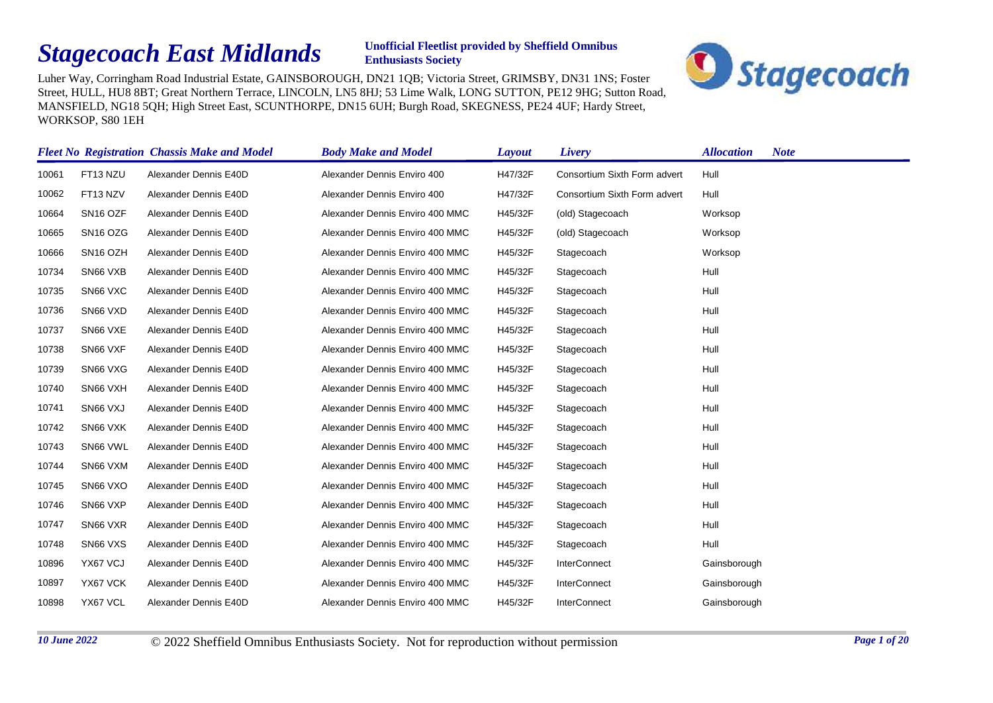## *Stagecoach East Midlands*

## **Unofficial Fleetlist provided by Sheffield Omnibus Enthusiasts Society**



Luher Way, Corringham Road Industrial Estate, GAINSBOROUGH, DN21 1QB; Victoria Street, GRIMSBY, DN31 1NS; Foster Street, HULL, HU8 8BT; Great Northern Terrace, LINCOLN, LN5 8HJ; 53 Lime Walk, LONG SUTTON, PE12 9HG; Sutton Road, MANSFIELD, NG18 5QH; High Street East, SCUNTHORPE, DN15 6UH; Burgh Road, SKEGNESS, PE24 4UF; Hardy Street, WORKSOP, S80 1EH

|       |                      | <b>Fleet No Registration Chassis Make and Model</b> | <b>Body Make and Model</b>      | Layout  | Livery                       | <b>Allocation</b><br><b>Note</b> |
|-------|----------------------|-----------------------------------------------------|---------------------------------|---------|------------------------------|----------------------------------|
| 10061 | FT13 NZU             | Alexander Dennis E40D                               | Alexander Dennis Enviro 400     | H47/32F | Consortium Sixth Form advert | Hull                             |
| 10062 | FT13 NZV             | Alexander Dennis E40D                               | Alexander Dennis Enviro 400     | H47/32F | Consortium Sixth Form advert | Hull                             |
| 10664 | SN <sub>16</sub> OZF | Alexander Dennis E40D                               | Alexander Dennis Enviro 400 MMC | H45/32F | (old) Stagecoach             | Worksop                          |
| 10665 | SN <sub>16</sub> OZG | Alexander Dennis E40D                               | Alexander Dennis Enviro 400 MMC | H45/32F | (old) Stagecoach             | Worksop                          |
| 10666 | SN <sub>16</sub> OZH | Alexander Dennis E40D                               | Alexander Dennis Enviro 400 MMC | H45/32F | Stagecoach                   | Worksop                          |
| 10734 | SN66 VXB             | Alexander Dennis E40D                               | Alexander Dennis Enviro 400 MMC | H45/32F | Stagecoach                   | Hull                             |
| 10735 | SN66 VXC             | Alexander Dennis E40D                               | Alexander Dennis Enviro 400 MMC | H45/32F | Stagecoach                   | Hull                             |
| 10736 | SN66 VXD             | Alexander Dennis E40D                               | Alexander Dennis Enviro 400 MMC | H45/32F | Stagecoach                   | Hull                             |
| 10737 | SN66 VXE             | Alexander Dennis E40D                               | Alexander Dennis Enviro 400 MMC | H45/32F | Stagecoach                   | Hull                             |
| 10738 | SN66 VXF             | Alexander Dennis E40D                               | Alexander Dennis Enviro 400 MMC | H45/32F | Stagecoach                   | Hull                             |
| 10739 | SN66 VXG             | Alexander Dennis E40D                               | Alexander Dennis Enviro 400 MMC | H45/32F | Stagecoach                   | Hull                             |
| 10740 | SN66 VXH             | Alexander Dennis E40D                               | Alexander Dennis Enviro 400 MMC | H45/32F | Stagecoach                   | Hull                             |
| 10741 | SN66 VXJ             | Alexander Dennis E40D                               | Alexander Dennis Enviro 400 MMC | H45/32F | Stagecoach                   | Hull                             |
| 10742 | SN66 VXK             | Alexander Dennis E40D                               | Alexander Dennis Enviro 400 MMC | H45/32F | Stagecoach                   | Hull                             |
| 10743 | SN66 VWL             | Alexander Dennis E40D                               | Alexander Dennis Enviro 400 MMC | H45/32F | Stagecoach                   | Hull                             |
| 10744 | SN66 VXM             | Alexander Dennis E40D                               | Alexander Dennis Enviro 400 MMC | H45/32F | Stagecoach                   | Hull                             |
| 10745 | SN66 VXO             | Alexander Dennis E40D                               | Alexander Dennis Enviro 400 MMC | H45/32F | Stagecoach                   | Hull                             |
| 10746 | SN66 VXP             | Alexander Dennis E40D                               | Alexander Dennis Enviro 400 MMC | H45/32F | Stagecoach                   | Hull                             |
| 10747 | SN66 VXR             | Alexander Dennis E40D                               | Alexander Dennis Enviro 400 MMC | H45/32F | Stagecoach                   | Hull                             |
| 10748 | SN66 VXS             | Alexander Dennis E40D                               | Alexander Dennis Enviro 400 MMC | H45/32F | Stagecoach                   | Hull                             |
| 10896 | YX67 VCJ             | Alexander Dennis E40D                               | Alexander Dennis Enviro 400 MMC | H45/32F | <b>InterConnect</b>          | Gainsborough                     |
| 10897 | YX67 VCK             | Alexander Dennis E40D                               | Alexander Dennis Enviro 400 MMC | H45/32F | <b>InterConnect</b>          | Gainsborough                     |
| 10898 | YX67 VCL             | Alexander Dennis E40D                               | Alexander Dennis Enviro 400 MMC | H45/32F | <b>InterConnect</b>          | Gainsborough                     |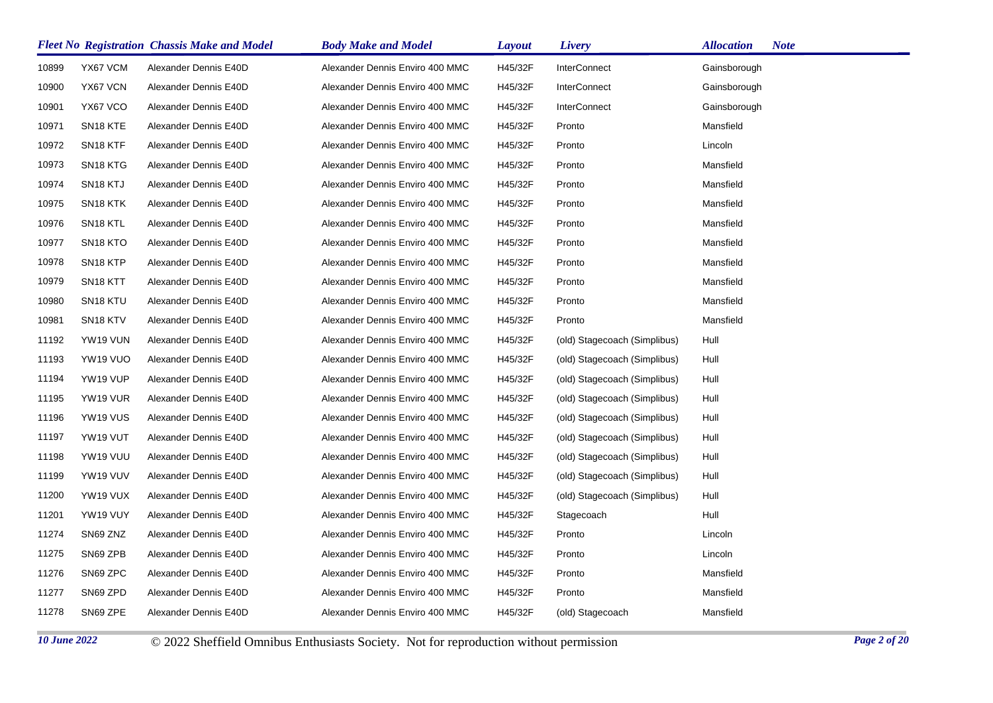|       |                      | <b>Fleet No Registration Chassis Make and Model</b> | <b>Body Make and Model</b>      | <b>Layout</b> | Livery                       | <b>Allocation</b><br><b>Note</b> |
|-------|----------------------|-----------------------------------------------------|---------------------------------|---------------|------------------------------|----------------------------------|
| 10899 | YX67 VCM             | Alexander Dennis E40D                               | Alexander Dennis Enviro 400 MMC | H45/32F       | <b>InterConnect</b>          | Gainsborough                     |
| 10900 | YX67 VCN             | Alexander Dennis E40D                               | Alexander Dennis Enviro 400 MMC | H45/32F       | <b>InterConnect</b>          | Gainsborough                     |
| 10901 | YX67 VCO             | Alexander Dennis E40D                               | Alexander Dennis Enviro 400 MMC | H45/32F       | <b>InterConnect</b>          | Gainsborough                     |
| 10971 | SN <sub>18</sub> KTE | Alexander Dennis E40D                               | Alexander Dennis Enviro 400 MMC | H45/32F       | Pronto                       | Mansfield                        |
| 10972 | SN <sub>18</sub> KTF | Alexander Dennis E40D                               | Alexander Dennis Enviro 400 MMC | H45/32F       | Pronto                       | Lincoln                          |
| 10973 | SN <sub>18</sub> KTG | Alexander Dennis E40D                               | Alexander Dennis Enviro 400 MMC | H45/32F       | Pronto                       | Mansfield                        |
| 10974 | SN <sub>18</sub> KTJ | Alexander Dennis E40D                               | Alexander Dennis Enviro 400 MMC | H45/32F       | Pronto                       | Mansfield                        |
| 10975 | SN <sub>18</sub> KTK | Alexander Dennis E40D                               | Alexander Dennis Enviro 400 MMC | H45/32F       | Pronto                       | Mansfield                        |
| 10976 | SN <sub>18</sub> KTL | Alexander Dennis E40D                               | Alexander Dennis Enviro 400 MMC | H45/32F       | Pronto                       | Mansfield                        |
| 10977 | SN <sub>18</sub> KTO | Alexander Dennis E40D                               | Alexander Dennis Enviro 400 MMC | H45/32F       | Pronto                       | Mansfield                        |
| 10978 | SN <sub>18</sub> KTP | Alexander Dennis E40D                               | Alexander Dennis Enviro 400 MMC | H45/32F       | Pronto                       | Mansfield                        |
| 10979 | SN <sub>18</sub> KTT | Alexander Dennis E40D                               | Alexander Dennis Enviro 400 MMC | H45/32F       | Pronto                       | Mansfield                        |
| 10980 | SN <sub>18</sub> KTU | Alexander Dennis E40D                               | Alexander Dennis Enviro 400 MMC | H45/32F       | Pronto                       | Mansfield                        |
| 10981 | SN <sub>18</sub> KTV | Alexander Dennis E40D                               | Alexander Dennis Enviro 400 MMC | H45/32F       | Pronto                       | Mansfield                        |
| 11192 | YW19 VUN             | Alexander Dennis E40D                               | Alexander Dennis Enviro 400 MMC | H45/32F       | (old) Stagecoach (Simplibus) | Hull                             |
| 11193 | YW19 VUO             | Alexander Dennis E40D                               | Alexander Dennis Enviro 400 MMC | H45/32F       | (old) Stagecoach (Simplibus) | Hull                             |
| 11194 | YW19 VUP             | Alexander Dennis E40D                               | Alexander Dennis Enviro 400 MMC | H45/32F       | (old) Stagecoach (Simplibus) | Hull                             |
| 11195 | YW19 VUR             | Alexander Dennis E40D                               | Alexander Dennis Enviro 400 MMC | H45/32F       | (old) Stagecoach (Simplibus) | Hull                             |
| 11196 | YW19 VUS             | Alexander Dennis E40D                               | Alexander Dennis Enviro 400 MMC | H45/32F       | (old) Stagecoach (Simplibus) | Hull                             |
| 11197 | YW19 VUT             | Alexander Dennis E40D                               | Alexander Dennis Enviro 400 MMC | H45/32F       | (old) Stagecoach (Simplibus) | Hull                             |
| 11198 | YW19 VUU             | Alexander Dennis E40D                               | Alexander Dennis Enviro 400 MMC | H45/32F       | (old) Stagecoach (Simplibus) | Hull                             |
| 11199 | YW19 VUV             | Alexander Dennis E40D                               | Alexander Dennis Enviro 400 MMC | H45/32F       | (old) Stagecoach (Simplibus) | Hull                             |
| 11200 | YW19 VUX             | Alexander Dennis E40D                               | Alexander Dennis Enviro 400 MMC | H45/32F       | (old) Stagecoach (Simplibus) | Hull                             |
| 11201 | YW19 VUY             | Alexander Dennis E40D                               | Alexander Dennis Enviro 400 MMC | H45/32F       | Stagecoach                   | Hull                             |
| 11274 | SN69 ZNZ             | Alexander Dennis E40D                               | Alexander Dennis Enviro 400 MMC | H45/32F       | Pronto                       | Lincoln                          |
| 11275 | SN69 ZPB             | Alexander Dennis E40D                               | Alexander Dennis Enviro 400 MMC | H45/32F       | Pronto                       | Lincoln                          |
| 11276 | SN69 ZPC             | Alexander Dennis E40D                               | Alexander Dennis Enviro 400 MMC | H45/32F       | Pronto                       | Mansfield                        |
| 11277 | SN69 ZPD             | Alexander Dennis E40D                               | Alexander Dennis Enviro 400 MMC | H45/32F       | Pronto                       | Mansfield                        |
| 11278 | SN69 ZPE             | Alexander Dennis E40D                               | Alexander Dennis Enviro 400 MMC | H45/32F       | (old) Stagecoach             | Mansfield                        |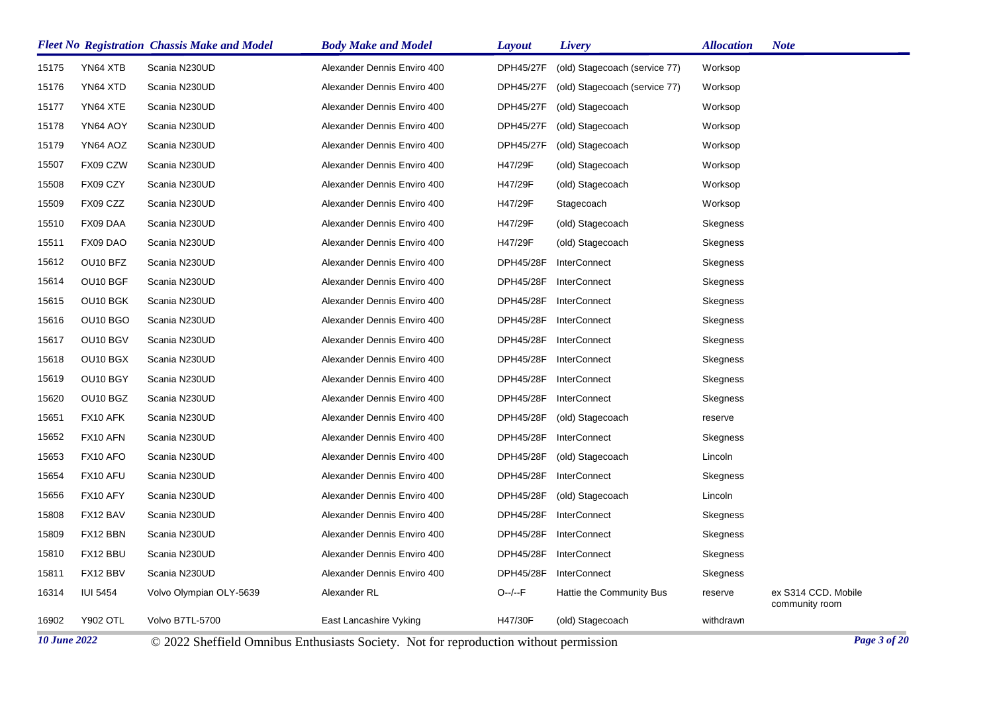|       |                 | <b>Fleet No Registration Chassis Make and Model</b> | <b>Body Make and Model</b>  | Layout           | Livery                        | Allocation | <b>Note</b>                           |
|-------|-----------------|-----------------------------------------------------|-----------------------------|------------------|-------------------------------|------------|---------------------------------------|
| 15175 | YN64 XTB        | Scania N230UD                                       | Alexander Dennis Enviro 400 | <b>DPH45/27F</b> | (old) Stagecoach (service 77) | Worksop    |                                       |
| 15176 | YN64 XTD        | Scania N230UD                                       | Alexander Dennis Enviro 400 | <b>DPH45/27F</b> | (old) Stagecoach (service 77) | Worksop    |                                       |
| 15177 | YN64 XTE        | Scania N230UD                                       | Alexander Dennis Enviro 400 | <b>DPH45/27F</b> | (old) Stagecoach              | Worksop    |                                       |
| 15178 | YN64 AOY        | Scania N230UD                                       | Alexander Dennis Enviro 400 | DPH45/27F        | (old) Stagecoach              | Worksop    |                                       |
| 15179 | YN64 AOZ        | Scania N230UD                                       | Alexander Dennis Enviro 400 | DPH45/27F        | (old) Stagecoach              | Worksop    |                                       |
| 15507 | FX09 CZW        | Scania N230UD                                       | Alexander Dennis Enviro 400 | H47/29F          | (old) Stagecoach              | Worksop    |                                       |
| 15508 | FX09 CZY        | Scania N230UD                                       | Alexander Dennis Enviro 400 | H47/29F          | (old) Stagecoach              | Worksop    |                                       |
| 15509 | FX09 CZZ        | Scania N230UD                                       | Alexander Dennis Enviro 400 | H47/29F          | Stagecoach                    | Worksop    |                                       |
| 15510 | FX09 DAA        | Scania N230UD                                       | Alexander Dennis Enviro 400 | H47/29F          | (old) Stagecoach              | Skegness   |                                       |
| 15511 | FX09 DAO        | Scania N230UD                                       | Alexander Dennis Enviro 400 | H47/29F          | (old) Stagecoach              | Skegness   |                                       |
| 15612 | OU10 BFZ        | Scania N230UD                                       | Alexander Dennis Enviro 400 | DPH45/28F        | <b>InterConnect</b>           | Skegness   |                                       |
| 15614 | OU10 BGF        | Scania N230UD                                       | Alexander Dennis Enviro 400 | <b>DPH45/28F</b> | <b>InterConnect</b>           | Skegness   |                                       |
| 15615 | OU10 BGK        | Scania N230UD                                       | Alexander Dennis Enviro 400 | DPH45/28F        | <b>InterConnect</b>           | Skegness   |                                       |
| 15616 | OU10 BGO        | Scania N230UD                                       | Alexander Dennis Enviro 400 | DPH45/28F        | <b>InterConnect</b>           | Skegness   |                                       |
| 15617 | OU10 BGV        | Scania N230UD                                       | Alexander Dennis Enviro 400 | DPH45/28F        | <b>InterConnect</b>           | Skegness   |                                       |
| 15618 | OU10 BGX        | Scania N230UD                                       | Alexander Dennis Enviro 400 | <b>DPH45/28F</b> | <b>InterConnect</b>           | Skegness   |                                       |
| 15619 | OU10 BGY        | Scania N230UD                                       | Alexander Dennis Enviro 400 | <b>DPH45/28F</b> | <b>InterConnect</b>           | Skegness   |                                       |
| 15620 | OU10 BGZ        | Scania N230UD                                       | Alexander Dennis Enviro 400 | DPH45/28F        | <b>InterConnect</b>           | Skegness   |                                       |
| 15651 | FX10 AFK        | Scania N230UD                                       | Alexander Dennis Enviro 400 | <b>DPH45/28F</b> | (old) Stagecoach              | reserve    |                                       |
| 15652 | FX10 AFN        | Scania N230UD                                       | Alexander Dennis Enviro 400 | DPH45/28F        | <b>InterConnect</b>           | Skegness   |                                       |
| 15653 | FX10 AFO        | Scania N230UD                                       | Alexander Dennis Enviro 400 | <b>DPH45/28F</b> | (old) Stagecoach              | Lincoln    |                                       |
| 15654 | FX10 AFU        | Scania N230UD                                       | Alexander Dennis Enviro 400 | DPH45/28F        | <b>InterConnect</b>           | Skegness   |                                       |
| 15656 | FX10 AFY        | Scania N230UD                                       | Alexander Dennis Enviro 400 | <b>DPH45/28F</b> | (old) Stagecoach              | Lincoln    |                                       |
| 15808 | FX12 BAV        | Scania N230UD                                       | Alexander Dennis Enviro 400 | DPH45/28F        | <b>InterConnect</b>           | Skegness   |                                       |
| 15809 | FX12 BBN        | Scania N230UD                                       | Alexander Dennis Enviro 400 | DPH45/28F        | <b>InterConnect</b>           | Skegness   |                                       |
| 15810 | FX12 BBU        | Scania N230UD                                       | Alexander Dennis Enviro 400 | <b>DPH45/28F</b> | <b>InterConnect</b>           | Skegness   |                                       |
| 15811 | FX12 BBV        | Scania N230UD                                       | Alexander Dennis Enviro 400 | DPH45/28F        | <b>InterConnect</b>           | Skegness   |                                       |
| 16314 | <b>IUI 5454</b> | Volvo Olympian OLY-5639                             | Alexander RL                | $O-/-F$          | Hattie the Community Bus      | reserve    | ex S314 CCD. Mobile<br>community room |
| 16902 | <b>Y902 OTL</b> | Volvo B7TL-5700                                     | East Lancashire Vyking      | H47/30F          | (old) Stagecoach              | withdrawn  |                                       |

*10 June 2022* © 2022 Sheffield Omnibus Enthusiasts Society. Not for reproduction without permission *Page 3 of 20*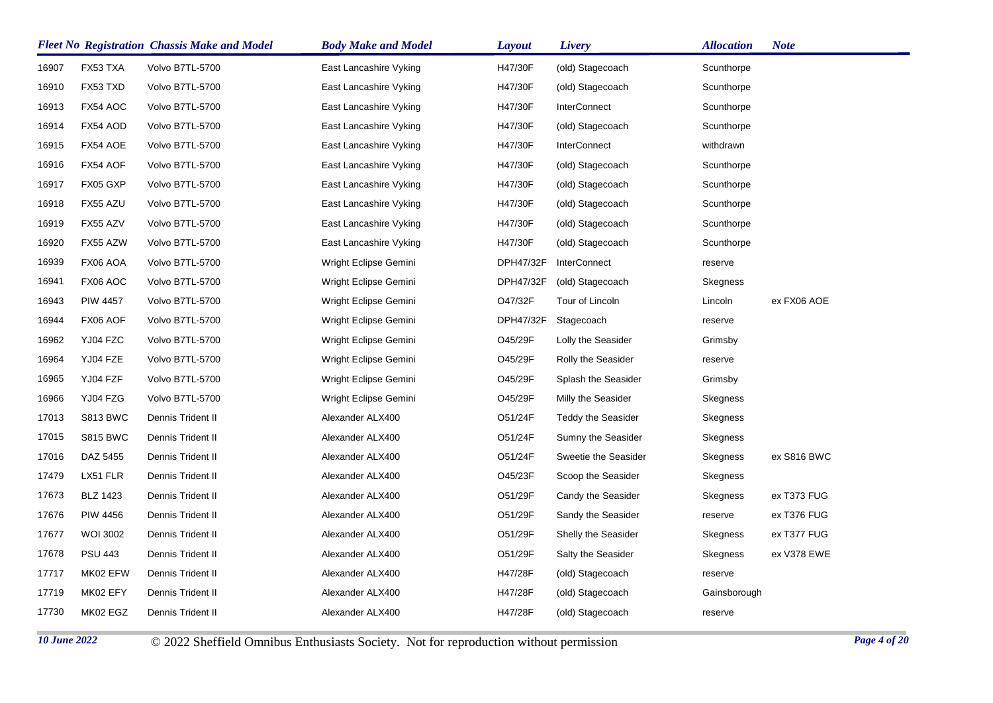| FX53 TXA<br>Volvo B7TL-5700<br>H47/30F<br>16907<br>East Lancashire Vyking<br>(old) Stagecoach<br>Scunthorpe<br>H47/30F<br>16910<br>FX53 TXD<br>Volvo B7TL-5700<br>(old) Stagecoach<br>East Lancashire Vyking<br>Scunthorpe<br>16913<br>FX54 AOC<br>Volvo B7TL-5700<br>H47/30F<br>InterConnect<br>East Lancashire Vyking<br>Scunthorpe<br>16914<br>FX54 AOD<br>H47/30F<br>Volvo B7TL-5700<br>East Lancashire Vyking<br>(old) Stagecoach<br>Scunthorpe<br>16915<br>FX54 AOE<br>Volvo B7TL-5700<br>H47/30F<br>InterConnect<br>East Lancashire Vyking<br>withdrawn<br>16916<br>FX54 AOF<br>Volvo B7TL-5700<br>H47/30F<br>East Lancashire Vyking<br>(old) Stagecoach<br>Scunthorpe<br>16917<br>FX05 GXP<br>Volvo B7TL-5700<br>East Lancashire Vyking<br>H47/30F<br>(old) Stagecoach<br>Scunthorpe<br>16918<br>FX55 AZU<br>H47/30F<br>Volvo B7TL-5700<br>East Lancashire Vyking<br>(old) Stagecoach<br>Scunthorpe<br>16919<br>FX55 AZV<br>H47/30F<br>(old) Stagecoach<br>Volvo B7TL-5700<br>East Lancashire Vyking<br>Scunthorpe<br>16920<br>FX55 AZW<br>Volvo B7TL-5700<br>H47/30F<br>East Lancashire Vyking<br>(old) Stagecoach<br>Scunthorpe<br>FX06 AOA<br>Volvo B7TL-5700<br><b>InterConnect</b><br>16939<br>Wright Eclipse Gemini<br>DPH47/32F<br>reserve<br>FX06 AOC<br>DPH47/32F<br>16941<br>Volvo B7TL-5700<br>Wright Eclipse Gemini<br>(old) Stagecoach<br>Skegness<br>O47/32F<br>ex FX06 AOE<br>16943<br><b>PIW 4457</b><br>Volvo B7TL-5700<br>Wright Eclipse Gemini<br>Tour of Lincoln<br>Lincoln<br>16944<br>FX06 AOF<br>DPH47/32F<br>Volvo B7TL-5700<br>Wright Eclipse Gemini<br>Stagecoach<br>reserve<br>YJ04 FZC<br>O45/29F<br>16962<br>Volvo B7TL-5700<br>Wright Eclipse Gemini<br>Lolly the Seasider<br>Grimsby<br>16964<br>YJ04 FZE<br>Volvo B7TL-5700<br>O45/29F<br>Rolly the Seasider<br>Wright Eclipse Gemini<br>reserve<br>YJ04 FZF<br>Volvo B7TL-5700<br>O45/29F<br>16965<br>Wright Eclipse Gemini<br>Splash the Seasider<br>Grimsby<br>16966<br>YJ04 FZG<br>Volvo B7TL-5700<br>Wright Eclipse Gemini<br>O45/29F<br>Milly the Seasider<br>Skegness<br>17013<br><b>S813 BWC</b><br>Dennis Trident II<br>O51/24F<br><b>Teddy the Seasider</b><br>Alexander ALX400<br>Skegness<br>17015<br><b>S815 BWC</b><br>O51/24F<br>Sumny the Seasider<br>Dennis Trident II<br>Alexander ALX400<br>Skegness<br>17016<br>O51/24F<br>DAZ 5455<br>Dennis Trident II<br>Alexander ALX400<br>Sweetie the Seasider<br>Skegness<br>ex S816 BWC<br>17479<br>LX51 FLR<br>Dennis Trident II<br>O45/23F<br>Scoop the Seasider<br>Alexander ALX400<br>Skegness<br>17673<br><b>BLZ 1423</b><br>O51/29F<br>ex T373 FUG<br>Dennis Trident II<br>Alexander ALX400<br>Candy the Seasider<br>Skegness<br>O51/29F<br>17676<br><b>PIW 4456</b><br><b>Dennis Trident II</b><br>Sandy the Seasider<br>ex T376 FUG<br>Alexander ALX400<br>reserve<br>17677<br><b>WOI 3002</b><br>Dennis Trident II<br>Alexander ALX400<br>O51/29F<br>ex T377 FUG<br>Shelly the Seasider<br>Skegness<br>17678<br><b>PSU 443</b><br>Dennis Trident II<br>O51/29F<br>Salty the Seasider<br>ex V378 EWE<br>Alexander ALX400<br>Skegness<br>17717<br>MK02 EFW<br>Dennis Trident II<br>Alexander ALX400<br>H47/28F<br>(old) Stagecoach<br>reserve<br>17719<br>MK02 EFY<br>Dennis Trident II<br>H47/28F<br>Alexander ALX400<br>(old) Stagecoach<br>Gainsborough<br>17730<br>MK02 EGZ<br>Dennis Trident II<br>Alexander ALX400<br>H47/28F<br>(old) Stagecoach<br>reserve |  | <b>Fleet No Registration Chassis Make and Model</b> | <b>Body Make and Model</b> | Layout | Livery | <b>Allocation</b> | <b>Note</b> |
|-------------------------------------------------------------------------------------------------------------------------------------------------------------------------------------------------------------------------------------------------------------------------------------------------------------------------------------------------------------------------------------------------------------------------------------------------------------------------------------------------------------------------------------------------------------------------------------------------------------------------------------------------------------------------------------------------------------------------------------------------------------------------------------------------------------------------------------------------------------------------------------------------------------------------------------------------------------------------------------------------------------------------------------------------------------------------------------------------------------------------------------------------------------------------------------------------------------------------------------------------------------------------------------------------------------------------------------------------------------------------------------------------------------------------------------------------------------------------------------------------------------------------------------------------------------------------------------------------------------------------------------------------------------------------------------------------------------------------------------------------------------------------------------------------------------------------------------------------------------------------------------------------------------------------------------------------------------------------------------------------------------------------------------------------------------------------------------------------------------------------------------------------------------------------------------------------------------------------------------------------------------------------------------------------------------------------------------------------------------------------------------------------------------------------------------------------------------------------------------------------------------------------------------------------------------------------------------------------------------------------------------------------------------------------------------------------------------------------------------------------------------------------------------------------------------------------------------------------------------------------------------------------------------------------------------------------------------------------------------------------------------------------------------------------------------------------------------------------------------------------------------------------------------------------------------------------------------------------------------------------------------------------------------------------------------------------------------------------------------------------------------------------------------------------------|--|-----------------------------------------------------|----------------------------|--------|--------|-------------------|-------------|
|                                                                                                                                                                                                                                                                                                                                                                                                                                                                                                                                                                                                                                                                                                                                                                                                                                                                                                                                                                                                                                                                                                                                                                                                                                                                                                                                                                                                                                                                                                                                                                                                                                                                                                                                                                                                                                                                                                                                                                                                                                                                                                                                                                                                                                                                                                                                                                                                                                                                                                                                                                                                                                                                                                                                                                                                                                                                                                                                                                                                                                                                                                                                                                                                                                                                                                                                                                                                                               |  |                                                     |                            |        |        |                   |             |
|                                                                                                                                                                                                                                                                                                                                                                                                                                                                                                                                                                                                                                                                                                                                                                                                                                                                                                                                                                                                                                                                                                                                                                                                                                                                                                                                                                                                                                                                                                                                                                                                                                                                                                                                                                                                                                                                                                                                                                                                                                                                                                                                                                                                                                                                                                                                                                                                                                                                                                                                                                                                                                                                                                                                                                                                                                                                                                                                                                                                                                                                                                                                                                                                                                                                                                                                                                                                                               |  |                                                     |                            |        |        |                   |             |
|                                                                                                                                                                                                                                                                                                                                                                                                                                                                                                                                                                                                                                                                                                                                                                                                                                                                                                                                                                                                                                                                                                                                                                                                                                                                                                                                                                                                                                                                                                                                                                                                                                                                                                                                                                                                                                                                                                                                                                                                                                                                                                                                                                                                                                                                                                                                                                                                                                                                                                                                                                                                                                                                                                                                                                                                                                                                                                                                                                                                                                                                                                                                                                                                                                                                                                                                                                                                                               |  |                                                     |                            |        |        |                   |             |
|                                                                                                                                                                                                                                                                                                                                                                                                                                                                                                                                                                                                                                                                                                                                                                                                                                                                                                                                                                                                                                                                                                                                                                                                                                                                                                                                                                                                                                                                                                                                                                                                                                                                                                                                                                                                                                                                                                                                                                                                                                                                                                                                                                                                                                                                                                                                                                                                                                                                                                                                                                                                                                                                                                                                                                                                                                                                                                                                                                                                                                                                                                                                                                                                                                                                                                                                                                                                                               |  |                                                     |                            |        |        |                   |             |
|                                                                                                                                                                                                                                                                                                                                                                                                                                                                                                                                                                                                                                                                                                                                                                                                                                                                                                                                                                                                                                                                                                                                                                                                                                                                                                                                                                                                                                                                                                                                                                                                                                                                                                                                                                                                                                                                                                                                                                                                                                                                                                                                                                                                                                                                                                                                                                                                                                                                                                                                                                                                                                                                                                                                                                                                                                                                                                                                                                                                                                                                                                                                                                                                                                                                                                                                                                                                                               |  |                                                     |                            |        |        |                   |             |
|                                                                                                                                                                                                                                                                                                                                                                                                                                                                                                                                                                                                                                                                                                                                                                                                                                                                                                                                                                                                                                                                                                                                                                                                                                                                                                                                                                                                                                                                                                                                                                                                                                                                                                                                                                                                                                                                                                                                                                                                                                                                                                                                                                                                                                                                                                                                                                                                                                                                                                                                                                                                                                                                                                                                                                                                                                                                                                                                                                                                                                                                                                                                                                                                                                                                                                                                                                                                                               |  |                                                     |                            |        |        |                   |             |
|                                                                                                                                                                                                                                                                                                                                                                                                                                                                                                                                                                                                                                                                                                                                                                                                                                                                                                                                                                                                                                                                                                                                                                                                                                                                                                                                                                                                                                                                                                                                                                                                                                                                                                                                                                                                                                                                                                                                                                                                                                                                                                                                                                                                                                                                                                                                                                                                                                                                                                                                                                                                                                                                                                                                                                                                                                                                                                                                                                                                                                                                                                                                                                                                                                                                                                                                                                                                                               |  |                                                     |                            |        |        |                   |             |
|                                                                                                                                                                                                                                                                                                                                                                                                                                                                                                                                                                                                                                                                                                                                                                                                                                                                                                                                                                                                                                                                                                                                                                                                                                                                                                                                                                                                                                                                                                                                                                                                                                                                                                                                                                                                                                                                                                                                                                                                                                                                                                                                                                                                                                                                                                                                                                                                                                                                                                                                                                                                                                                                                                                                                                                                                                                                                                                                                                                                                                                                                                                                                                                                                                                                                                                                                                                                                               |  |                                                     |                            |        |        |                   |             |
|                                                                                                                                                                                                                                                                                                                                                                                                                                                                                                                                                                                                                                                                                                                                                                                                                                                                                                                                                                                                                                                                                                                                                                                                                                                                                                                                                                                                                                                                                                                                                                                                                                                                                                                                                                                                                                                                                                                                                                                                                                                                                                                                                                                                                                                                                                                                                                                                                                                                                                                                                                                                                                                                                                                                                                                                                                                                                                                                                                                                                                                                                                                                                                                                                                                                                                                                                                                                                               |  |                                                     |                            |        |        |                   |             |
|                                                                                                                                                                                                                                                                                                                                                                                                                                                                                                                                                                                                                                                                                                                                                                                                                                                                                                                                                                                                                                                                                                                                                                                                                                                                                                                                                                                                                                                                                                                                                                                                                                                                                                                                                                                                                                                                                                                                                                                                                                                                                                                                                                                                                                                                                                                                                                                                                                                                                                                                                                                                                                                                                                                                                                                                                                                                                                                                                                                                                                                                                                                                                                                                                                                                                                                                                                                                                               |  |                                                     |                            |        |        |                   |             |
|                                                                                                                                                                                                                                                                                                                                                                                                                                                                                                                                                                                                                                                                                                                                                                                                                                                                                                                                                                                                                                                                                                                                                                                                                                                                                                                                                                                                                                                                                                                                                                                                                                                                                                                                                                                                                                                                                                                                                                                                                                                                                                                                                                                                                                                                                                                                                                                                                                                                                                                                                                                                                                                                                                                                                                                                                                                                                                                                                                                                                                                                                                                                                                                                                                                                                                                                                                                                                               |  |                                                     |                            |        |        |                   |             |
|                                                                                                                                                                                                                                                                                                                                                                                                                                                                                                                                                                                                                                                                                                                                                                                                                                                                                                                                                                                                                                                                                                                                                                                                                                                                                                                                                                                                                                                                                                                                                                                                                                                                                                                                                                                                                                                                                                                                                                                                                                                                                                                                                                                                                                                                                                                                                                                                                                                                                                                                                                                                                                                                                                                                                                                                                                                                                                                                                                                                                                                                                                                                                                                                                                                                                                                                                                                                                               |  |                                                     |                            |        |        |                   |             |
|                                                                                                                                                                                                                                                                                                                                                                                                                                                                                                                                                                                                                                                                                                                                                                                                                                                                                                                                                                                                                                                                                                                                                                                                                                                                                                                                                                                                                                                                                                                                                                                                                                                                                                                                                                                                                                                                                                                                                                                                                                                                                                                                                                                                                                                                                                                                                                                                                                                                                                                                                                                                                                                                                                                                                                                                                                                                                                                                                                                                                                                                                                                                                                                                                                                                                                                                                                                                                               |  |                                                     |                            |        |        |                   |             |
|                                                                                                                                                                                                                                                                                                                                                                                                                                                                                                                                                                                                                                                                                                                                                                                                                                                                                                                                                                                                                                                                                                                                                                                                                                                                                                                                                                                                                                                                                                                                                                                                                                                                                                                                                                                                                                                                                                                                                                                                                                                                                                                                                                                                                                                                                                                                                                                                                                                                                                                                                                                                                                                                                                                                                                                                                                                                                                                                                                                                                                                                                                                                                                                                                                                                                                                                                                                                                               |  |                                                     |                            |        |        |                   |             |
|                                                                                                                                                                                                                                                                                                                                                                                                                                                                                                                                                                                                                                                                                                                                                                                                                                                                                                                                                                                                                                                                                                                                                                                                                                                                                                                                                                                                                                                                                                                                                                                                                                                                                                                                                                                                                                                                                                                                                                                                                                                                                                                                                                                                                                                                                                                                                                                                                                                                                                                                                                                                                                                                                                                                                                                                                                                                                                                                                                                                                                                                                                                                                                                                                                                                                                                                                                                                                               |  |                                                     |                            |        |        |                   |             |
|                                                                                                                                                                                                                                                                                                                                                                                                                                                                                                                                                                                                                                                                                                                                                                                                                                                                                                                                                                                                                                                                                                                                                                                                                                                                                                                                                                                                                                                                                                                                                                                                                                                                                                                                                                                                                                                                                                                                                                                                                                                                                                                                                                                                                                                                                                                                                                                                                                                                                                                                                                                                                                                                                                                                                                                                                                                                                                                                                                                                                                                                                                                                                                                                                                                                                                                                                                                                                               |  |                                                     |                            |        |        |                   |             |
|                                                                                                                                                                                                                                                                                                                                                                                                                                                                                                                                                                                                                                                                                                                                                                                                                                                                                                                                                                                                                                                                                                                                                                                                                                                                                                                                                                                                                                                                                                                                                                                                                                                                                                                                                                                                                                                                                                                                                                                                                                                                                                                                                                                                                                                                                                                                                                                                                                                                                                                                                                                                                                                                                                                                                                                                                                                                                                                                                                                                                                                                                                                                                                                                                                                                                                                                                                                                                               |  |                                                     |                            |        |        |                   |             |
|                                                                                                                                                                                                                                                                                                                                                                                                                                                                                                                                                                                                                                                                                                                                                                                                                                                                                                                                                                                                                                                                                                                                                                                                                                                                                                                                                                                                                                                                                                                                                                                                                                                                                                                                                                                                                                                                                                                                                                                                                                                                                                                                                                                                                                                                                                                                                                                                                                                                                                                                                                                                                                                                                                                                                                                                                                                                                                                                                                                                                                                                                                                                                                                                                                                                                                                                                                                                                               |  |                                                     |                            |        |        |                   |             |
|                                                                                                                                                                                                                                                                                                                                                                                                                                                                                                                                                                                                                                                                                                                                                                                                                                                                                                                                                                                                                                                                                                                                                                                                                                                                                                                                                                                                                                                                                                                                                                                                                                                                                                                                                                                                                                                                                                                                                                                                                                                                                                                                                                                                                                                                                                                                                                                                                                                                                                                                                                                                                                                                                                                                                                                                                                                                                                                                                                                                                                                                                                                                                                                                                                                                                                                                                                                                                               |  |                                                     |                            |        |        |                   |             |
|                                                                                                                                                                                                                                                                                                                                                                                                                                                                                                                                                                                                                                                                                                                                                                                                                                                                                                                                                                                                                                                                                                                                                                                                                                                                                                                                                                                                                                                                                                                                                                                                                                                                                                                                                                                                                                                                                                                                                                                                                                                                                                                                                                                                                                                                                                                                                                                                                                                                                                                                                                                                                                                                                                                                                                                                                                                                                                                                                                                                                                                                                                                                                                                                                                                                                                                                                                                                                               |  |                                                     |                            |        |        |                   |             |
|                                                                                                                                                                                                                                                                                                                                                                                                                                                                                                                                                                                                                                                                                                                                                                                                                                                                                                                                                                                                                                                                                                                                                                                                                                                                                                                                                                                                                                                                                                                                                                                                                                                                                                                                                                                                                                                                                                                                                                                                                                                                                                                                                                                                                                                                                                                                                                                                                                                                                                                                                                                                                                                                                                                                                                                                                                                                                                                                                                                                                                                                                                                                                                                                                                                                                                                                                                                                                               |  |                                                     |                            |        |        |                   |             |
|                                                                                                                                                                                                                                                                                                                                                                                                                                                                                                                                                                                                                                                                                                                                                                                                                                                                                                                                                                                                                                                                                                                                                                                                                                                                                                                                                                                                                                                                                                                                                                                                                                                                                                                                                                                                                                                                                                                                                                                                                                                                                                                                                                                                                                                                                                                                                                                                                                                                                                                                                                                                                                                                                                                                                                                                                                                                                                                                                                                                                                                                                                                                                                                                                                                                                                                                                                                                                               |  |                                                     |                            |        |        |                   |             |
|                                                                                                                                                                                                                                                                                                                                                                                                                                                                                                                                                                                                                                                                                                                                                                                                                                                                                                                                                                                                                                                                                                                                                                                                                                                                                                                                                                                                                                                                                                                                                                                                                                                                                                                                                                                                                                                                                                                                                                                                                                                                                                                                                                                                                                                                                                                                                                                                                                                                                                                                                                                                                                                                                                                                                                                                                                                                                                                                                                                                                                                                                                                                                                                                                                                                                                                                                                                                                               |  |                                                     |                            |        |        |                   |             |
|                                                                                                                                                                                                                                                                                                                                                                                                                                                                                                                                                                                                                                                                                                                                                                                                                                                                                                                                                                                                                                                                                                                                                                                                                                                                                                                                                                                                                                                                                                                                                                                                                                                                                                                                                                                                                                                                                                                                                                                                                                                                                                                                                                                                                                                                                                                                                                                                                                                                                                                                                                                                                                                                                                                                                                                                                                                                                                                                                                                                                                                                                                                                                                                                                                                                                                                                                                                                                               |  |                                                     |                            |        |        |                   |             |
|                                                                                                                                                                                                                                                                                                                                                                                                                                                                                                                                                                                                                                                                                                                                                                                                                                                                                                                                                                                                                                                                                                                                                                                                                                                                                                                                                                                                                                                                                                                                                                                                                                                                                                                                                                                                                                                                                                                                                                                                                                                                                                                                                                                                                                                                                                                                                                                                                                                                                                                                                                                                                                                                                                                                                                                                                                                                                                                                                                                                                                                                                                                                                                                                                                                                                                                                                                                                                               |  |                                                     |                            |        |        |                   |             |
|                                                                                                                                                                                                                                                                                                                                                                                                                                                                                                                                                                                                                                                                                                                                                                                                                                                                                                                                                                                                                                                                                                                                                                                                                                                                                                                                                                                                                                                                                                                                                                                                                                                                                                                                                                                                                                                                                                                                                                                                                                                                                                                                                                                                                                                                                                                                                                                                                                                                                                                                                                                                                                                                                                                                                                                                                                                                                                                                                                                                                                                                                                                                                                                                                                                                                                                                                                                                                               |  |                                                     |                            |        |        |                   |             |
|                                                                                                                                                                                                                                                                                                                                                                                                                                                                                                                                                                                                                                                                                                                                                                                                                                                                                                                                                                                                                                                                                                                                                                                                                                                                                                                                                                                                                                                                                                                                                                                                                                                                                                                                                                                                                                                                                                                                                                                                                                                                                                                                                                                                                                                                                                                                                                                                                                                                                                                                                                                                                                                                                                                                                                                                                                                                                                                                                                                                                                                                                                                                                                                                                                                                                                                                                                                                                               |  |                                                     |                            |        |        |                   |             |
|                                                                                                                                                                                                                                                                                                                                                                                                                                                                                                                                                                                                                                                                                                                                                                                                                                                                                                                                                                                                                                                                                                                                                                                                                                                                                                                                                                                                                                                                                                                                                                                                                                                                                                                                                                                                                                                                                                                                                                                                                                                                                                                                                                                                                                                                                                                                                                                                                                                                                                                                                                                                                                                                                                                                                                                                                                                                                                                                                                                                                                                                                                                                                                                                                                                                                                                                                                                                                               |  |                                                     |                            |        |        |                   |             |
|                                                                                                                                                                                                                                                                                                                                                                                                                                                                                                                                                                                                                                                                                                                                                                                                                                                                                                                                                                                                                                                                                                                                                                                                                                                                                                                                                                                                                                                                                                                                                                                                                                                                                                                                                                                                                                                                                                                                                                                                                                                                                                                                                                                                                                                                                                                                                                                                                                                                                                                                                                                                                                                                                                                                                                                                                                                                                                                                                                                                                                                                                                                                                                                                                                                                                                                                                                                                                               |  |                                                     |                            |        |        |                   |             |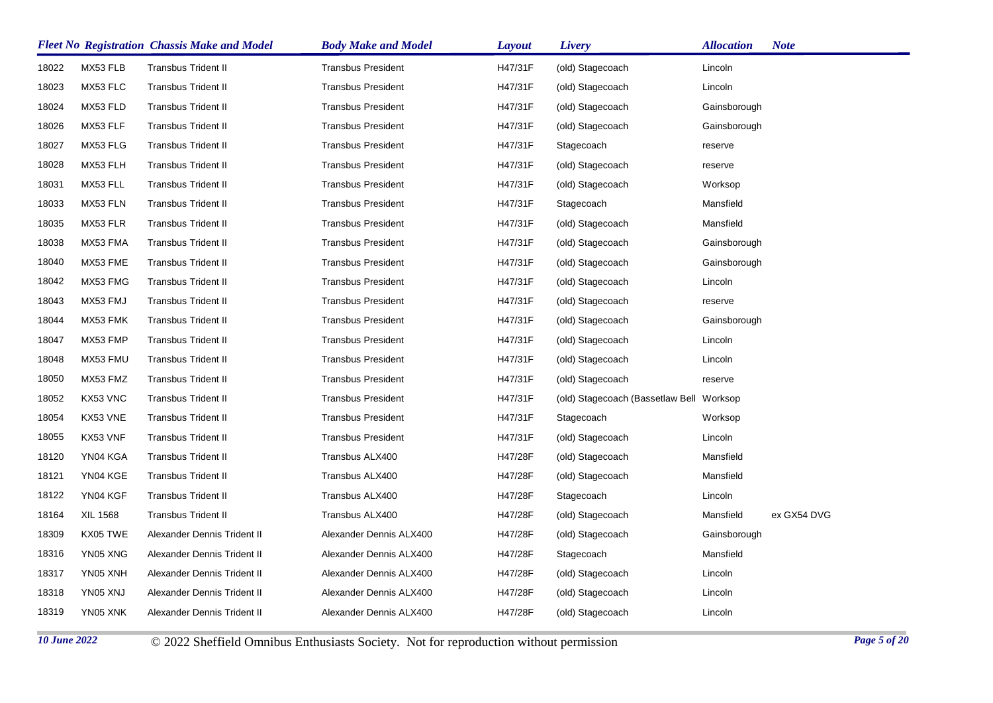|       |                 | <b>Fleet No Registration Chassis Make and Model</b> | <b>Body Make and Model</b> | Layout  | Livery                                   | <b>Allocation</b> | <b>Note</b> |
|-------|-----------------|-----------------------------------------------------|----------------------------|---------|------------------------------------------|-------------------|-------------|
| 18022 | MX53 FLB        | <b>Transbus Trident II</b>                          | <b>Transbus President</b>  | H47/31F | (old) Stagecoach                         | Lincoln           |             |
| 18023 | MX53 FLC        | <b>Transbus Trident II</b>                          | <b>Transbus President</b>  | H47/31F | (old) Stagecoach                         | Lincoln           |             |
| 18024 | MX53 FLD        | <b>Transbus Trident II</b>                          | <b>Transbus President</b>  | H47/31F | (old) Stagecoach                         | Gainsborough      |             |
| 18026 | MX53 FLF        | <b>Transbus Trident II</b>                          | <b>Transbus President</b>  | H47/31F | (old) Stagecoach                         | Gainsborough      |             |
| 18027 | MX53 FLG        | <b>Transbus Trident II</b>                          | <b>Transbus President</b>  | H47/31F | Stagecoach                               | reserve           |             |
| 18028 | MX53 FLH        | <b>Transbus Trident II</b>                          | <b>Transbus President</b>  | H47/31F | (old) Stagecoach                         | reserve           |             |
| 18031 | MX53 FLL        | <b>Transbus Trident II</b>                          | <b>Transbus President</b>  | H47/31F | (old) Stagecoach                         | Worksop           |             |
| 18033 | MX53 FLN        | Transbus Trident II                                 | <b>Transbus President</b>  | H47/31F | Stagecoach                               | Mansfield         |             |
| 18035 | MX53 FLR        | <b>Transbus Trident II</b>                          | <b>Transbus President</b>  | H47/31F | (old) Stagecoach                         | Mansfield         |             |
| 18038 | MX53 FMA        | <b>Transbus Trident II</b>                          | <b>Transbus President</b>  | H47/31F | (old) Stagecoach                         | Gainsborough      |             |
| 18040 | MX53 FME        | <b>Transbus Trident II</b>                          | <b>Transbus President</b>  | H47/31F | (old) Stagecoach                         | Gainsborough      |             |
| 18042 | MX53 FMG        | <b>Transbus Trident II</b>                          | <b>Transbus President</b>  | H47/31F | (old) Stagecoach                         | Lincoln           |             |
| 18043 | MX53 FMJ        | <b>Transbus Trident II</b>                          | <b>Transbus President</b>  | H47/31F | (old) Stagecoach                         | reserve           |             |
| 18044 | MX53 FMK        | <b>Transbus Trident II</b>                          | <b>Transbus President</b>  | H47/31F | (old) Stagecoach                         | Gainsborough      |             |
| 18047 | MX53 FMP        | <b>Transbus Trident II</b>                          | <b>Transbus President</b>  | H47/31F | (old) Stagecoach                         | Lincoln           |             |
| 18048 | MX53 FMU        | <b>Transbus Trident II</b>                          | <b>Transbus President</b>  | H47/31F | (old) Stagecoach                         | Lincoln           |             |
| 18050 | MX53 FMZ        | <b>Transbus Trident II</b>                          | <b>Transbus President</b>  | H47/31F | (old) Stagecoach                         | reserve           |             |
| 18052 | KX53 VNC        | <b>Transbus Trident II</b>                          | <b>Transbus President</b>  | H47/31F | (old) Stagecoach (Bassetlaw Bell Worksop |                   |             |
| 18054 | KX53 VNE        | <b>Transbus Trident II</b>                          | <b>Transbus President</b>  | H47/31F | Stagecoach                               | Worksop           |             |
| 18055 | KX53 VNF        | <b>Transbus Trident II</b>                          | <b>Transbus President</b>  | H47/31F | (old) Stagecoach                         | Lincoln           |             |
| 18120 | YN04 KGA        | <b>Transbus Trident II</b>                          | Transbus ALX400            | H47/28F | (old) Stagecoach                         | Mansfield         |             |
| 18121 | YN04 KGE        | <b>Transbus Trident II</b>                          | Transbus ALX400            | H47/28F | (old) Stagecoach                         | Mansfield         |             |
| 18122 | YN04 KGF        | <b>Transbus Trident II</b>                          | Transbus ALX400            | H47/28F | Stagecoach                               | Lincoln           |             |
| 18164 | <b>XIL 1568</b> | <b>Transbus Trident II</b>                          | Transbus ALX400            | H47/28F | (old) Stagecoach                         | Mansfield         | ex GX54 DVG |
| 18309 | KX05 TWE        | Alexander Dennis Trident II                         | Alexander Dennis ALX400    | H47/28F | (old) Stagecoach                         | Gainsborough      |             |
| 18316 | YN05 XNG        | Alexander Dennis Trident II                         | Alexander Dennis ALX400    | H47/28F | Stagecoach                               | Mansfield         |             |
| 18317 | YN05 XNH        | Alexander Dennis Trident II                         | Alexander Dennis ALX400    | H47/28F | (old) Stagecoach                         | Lincoln           |             |
| 18318 | YN05 XNJ        | Alexander Dennis Trident II                         | Alexander Dennis ALX400    | H47/28F | (old) Stagecoach                         | Lincoln           |             |
| 18319 | YN05 XNK        | Alexander Dennis Trident II                         | Alexander Dennis ALX400    | H47/28F | (old) Stagecoach                         | Lincoln           |             |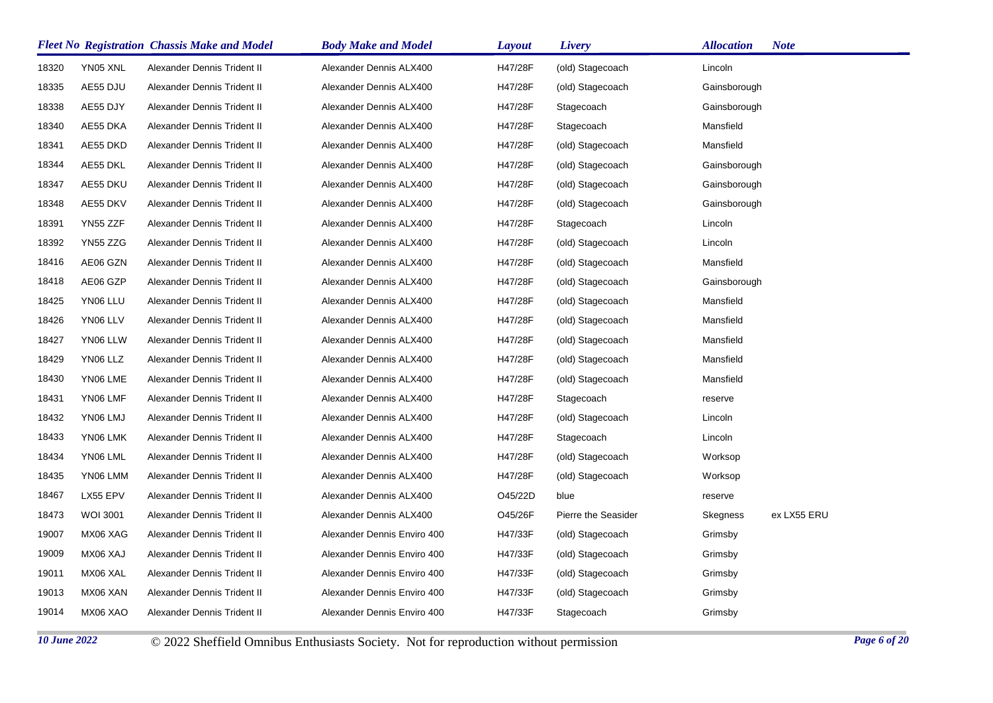|       |                 | <b>Fleet No Registration Chassis Make and Model</b> | <b>Body Make and Model</b>  | <b>Layout</b> | Livery              | <b>Allocation</b> | <b>Note</b> |
|-------|-----------------|-----------------------------------------------------|-----------------------------|---------------|---------------------|-------------------|-------------|
| 18320 | YN05 XNL        | Alexander Dennis Trident II                         | Alexander Dennis ALX400     | H47/28F       | (old) Stagecoach    | Lincoln           |             |
| 18335 | AE55 DJU        | Alexander Dennis Trident II                         | Alexander Dennis ALX400     | H47/28F       | (old) Stagecoach    | Gainsborough      |             |
| 18338 | AE55 DJY        | Alexander Dennis Trident II                         | Alexander Dennis ALX400     | H47/28F       | Stagecoach          | Gainsborough      |             |
| 18340 | AE55 DKA        | Alexander Dennis Trident II                         | Alexander Dennis ALX400     | H47/28F       | Stagecoach          | Mansfield         |             |
| 18341 | AE55 DKD        | Alexander Dennis Trident II                         | Alexander Dennis ALX400     | H47/28F       | (old) Stagecoach    | Mansfield         |             |
| 18344 | AE55 DKL        | Alexander Dennis Trident II                         | Alexander Dennis ALX400     | H47/28F       | (old) Stagecoach    | Gainsborough      |             |
| 18347 | AE55 DKU        | Alexander Dennis Trident II                         | Alexander Dennis ALX400     | H47/28F       | (old) Stagecoach    | Gainsborough      |             |
| 18348 | AE55 DKV        | Alexander Dennis Trident II                         | Alexander Dennis ALX400     | H47/28F       | (old) Stagecoach    | Gainsborough      |             |
| 18391 | YN55 ZZF        | Alexander Dennis Trident II                         | Alexander Dennis ALX400     | H47/28F       | Stagecoach          | Lincoln           |             |
| 18392 | YN55 ZZG        | Alexander Dennis Trident II                         | Alexander Dennis ALX400     | H47/28F       | (old) Stagecoach    | Lincoln           |             |
| 18416 | AE06 GZN        | Alexander Dennis Trident II                         | Alexander Dennis ALX400     | H47/28F       | (old) Stagecoach    | Mansfield         |             |
| 18418 | AE06 GZP        | Alexander Dennis Trident II                         | Alexander Dennis ALX400     | H47/28F       | (old) Stagecoach    | Gainsborough      |             |
| 18425 | YN06 LLU        | Alexander Dennis Trident II                         | Alexander Dennis ALX400     | H47/28F       | (old) Stagecoach    | Mansfield         |             |
| 18426 | YN06 LLV        | Alexander Dennis Trident II                         | Alexander Dennis ALX400     | H47/28F       | (old) Stagecoach    | Mansfield         |             |
| 18427 | YN06 LLW        | Alexander Dennis Trident II                         | Alexander Dennis ALX400     | H47/28F       | (old) Stagecoach    | Mansfield         |             |
| 18429 | YN06 LLZ        | Alexander Dennis Trident II                         | Alexander Dennis ALX400     | H47/28F       | (old) Stagecoach    | Mansfield         |             |
| 18430 | YN06 LME        | Alexander Dennis Trident II                         | Alexander Dennis ALX400     | H47/28F       | (old) Stagecoach    | Mansfield         |             |
| 18431 | YN06 LMF        | Alexander Dennis Trident II                         | Alexander Dennis ALX400     | H47/28F       | Stagecoach          | reserve           |             |
| 18432 | YN06 LMJ        | Alexander Dennis Trident II                         | Alexander Dennis ALX400     | H47/28F       | (old) Stagecoach    | Lincoln           |             |
| 18433 | YN06 LMK        | Alexander Dennis Trident II                         | Alexander Dennis ALX400     | H47/28F       | Stagecoach          | Lincoln           |             |
| 18434 | YN06 LML        | Alexander Dennis Trident II                         | Alexander Dennis ALX400     | H47/28F       | (old) Stagecoach    | Worksop           |             |
| 18435 | YN06 LMM        | Alexander Dennis Trident II                         | Alexander Dennis ALX400     | H47/28F       | (old) Stagecoach    | Worksop           |             |
| 18467 | LX55 EPV        | Alexander Dennis Trident II                         | Alexander Dennis ALX400     | O45/22D       | blue                | reserve           |             |
| 18473 | <b>WOI 3001</b> | Alexander Dennis Trident II                         | Alexander Dennis ALX400     | O45/26F       | Pierre the Seasider | Skegness          | ex LX55 ERU |
| 19007 | MX06 XAG        | Alexander Dennis Trident II                         | Alexander Dennis Enviro 400 | H47/33F       | (old) Stagecoach    | Grimsby           |             |
| 19009 | MX06 XAJ        | Alexander Dennis Trident II                         | Alexander Dennis Enviro 400 | H47/33F       | (old) Stagecoach    | Grimsby           |             |
| 19011 | MX06 XAL        | Alexander Dennis Trident II                         | Alexander Dennis Enviro 400 | H47/33F       | (old) Stagecoach    | Grimsby           |             |
| 19013 | MX06 XAN        | Alexander Dennis Trident II                         | Alexander Dennis Enviro 400 | H47/33F       | (old) Stagecoach    | Grimsby           |             |
| 19014 | MX06 XAO        | Alexander Dennis Trident II                         | Alexander Dennis Enviro 400 | H47/33F       | Stagecoach          | Grimsby           |             |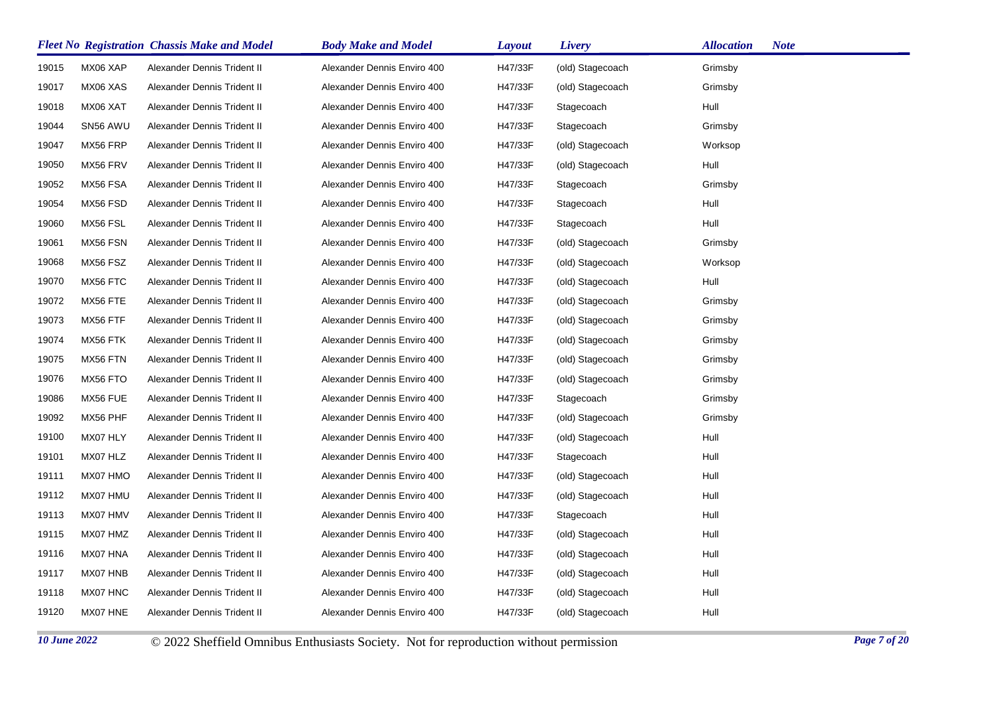|       |          | <b>Fleet No Registration Chassis Make and Model</b> | <b>Body Make and Model</b>  | <b>Layout</b> | Livery           | <b>Allocation</b><br><b>Note</b> |
|-------|----------|-----------------------------------------------------|-----------------------------|---------------|------------------|----------------------------------|
| 19015 | MX06 XAP | Alexander Dennis Trident II                         | Alexander Dennis Enviro 400 | H47/33F       | (old) Stagecoach | Grimsby                          |
| 19017 | MX06 XAS | Alexander Dennis Trident II                         | Alexander Dennis Enviro 400 | H47/33F       | (old) Stagecoach | Grimsby                          |
| 19018 | MX06 XAT | Alexander Dennis Trident II                         | Alexander Dennis Enviro 400 | H47/33F       | Stagecoach       | Hull                             |
| 19044 | SN56 AWU | Alexander Dennis Trident II                         | Alexander Dennis Enviro 400 | H47/33F       | Stagecoach       | Grimsby                          |
| 19047 | MX56 FRP | Alexander Dennis Trident II                         | Alexander Dennis Enviro 400 | H47/33F       | (old) Stagecoach | Worksop                          |
| 19050 | MX56 FRV | Alexander Dennis Trident II                         | Alexander Dennis Enviro 400 | H47/33F       | (old) Stagecoach | Hull                             |
| 19052 | MX56 FSA | Alexander Dennis Trident II                         | Alexander Dennis Enviro 400 | H47/33F       | Stagecoach       | Grimsby                          |
| 19054 | MX56 FSD | Alexander Dennis Trident II                         | Alexander Dennis Enviro 400 | H47/33F       | Stagecoach       | Hull                             |
| 19060 | MX56 FSL | Alexander Dennis Trident II                         | Alexander Dennis Enviro 400 | H47/33F       | Stagecoach       | Hull                             |
| 19061 | MX56 FSN | Alexander Dennis Trident II                         | Alexander Dennis Enviro 400 | H47/33F       | (old) Stagecoach | Grimsby                          |
| 19068 | MX56 FSZ | Alexander Dennis Trident II                         | Alexander Dennis Enviro 400 | H47/33F       | (old) Stagecoach | Worksop                          |
| 19070 | MX56 FTC | Alexander Dennis Trident II                         | Alexander Dennis Enviro 400 | H47/33F       | (old) Stagecoach | Hull                             |
| 19072 | MX56 FTE | Alexander Dennis Trident II                         | Alexander Dennis Enviro 400 | H47/33F       | (old) Stagecoach | Grimsby                          |
| 19073 | MX56 FTF | Alexander Dennis Trident II                         | Alexander Dennis Enviro 400 | H47/33F       | (old) Stagecoach | Grimsby                          |
| 19074 | MX56 FTK | Alexander Dennis Trident II                         | Alexander Dennis Enviro 400 | H47/33F       | (old) Stagecoach | Grimsby                          |
| 19075 | MX56 FTN | Alexander Dennis Trident II                         | Alexander Dennis Enviro 400 | H47/33F       | (old) Stagecoach | Grimsby                          |
| 19076 | MX56 FTO | Alexander Dennis Trident II                         | Alexander Dennis Enviro 400 | H47/33F       | (old) Stagecoach | Grimsby                          |
| 19086 | MX56 FUE | Alexander Dennis Trident II                         | Alexander Dennis Enviro 400 | H47/33F       | Stagecoach       | Grimsby                          |
| 19092 | MX56 PHF | Alexander Dennis Trident II                         | Alexander Dennis Enviro 400 | H47/33F       | (old) Stagecoach | Grimsby                          |
| 19100 | MX07 HLY | Alexander Dennis Trident II                         | Alexander Dennis Enviro 400 | H47/33F       | (old) Stagecoach | Hull                             |
| 19101 | MX07 HLZ | Alexander Dennis Trident II                         | Alexander Dennis Enviro 400 | H47/33F       | Stagecoach       | Hull                             |
| 19111 | MX07 HMO | Alexander Dennis Trident II                         | Alexander Dennis Enviro 400 | H47/33F       | (old) Stagecoach | Hull                             |
| 19112 | MX07 HMU | Alexander Dennis Trident II                         | Alexander Dennis Enviro 400 | H47/33F       | (old) Stagecoach | Hull                             |
| 19113 | MX07 HMV | Alexander Dennis Trident II                         | Alexander Dennis Enviro 400 | H47/33F       | Stagecoach       | Hull                             |
| 19115 | MX07 HMZ | Alexander Dennis Trident II                         | Alexander Dennis Enviro 400 | H47/33F       | (old) Stagecoach | Hull                             |
| 19116 | MX07 HNA | Alexander Dennis Trident II                         | Alexander Dennis Enviro 400 | H47/33F       | (old) Stagecoach | Hull                             |
| 19117 | MX07 HNB | Alexander Dennis Trident II                         | Alexander Dennis Enviro 400 | H47/33F       | (old) Stagecoach | Hull                             |
| 19118 | MX07 HNC | Alexander Dennis Trident II                         | Alexander Dennis Enviro 400 | H47/33F       | (old) Stagecoach | Hull                             |
| 19120 | MX07 HNE | Alexander Dennis Trident II                         | Alexander Dennis Enviro 400 | H47/33F       | (old) Stagecoach | Hull                             |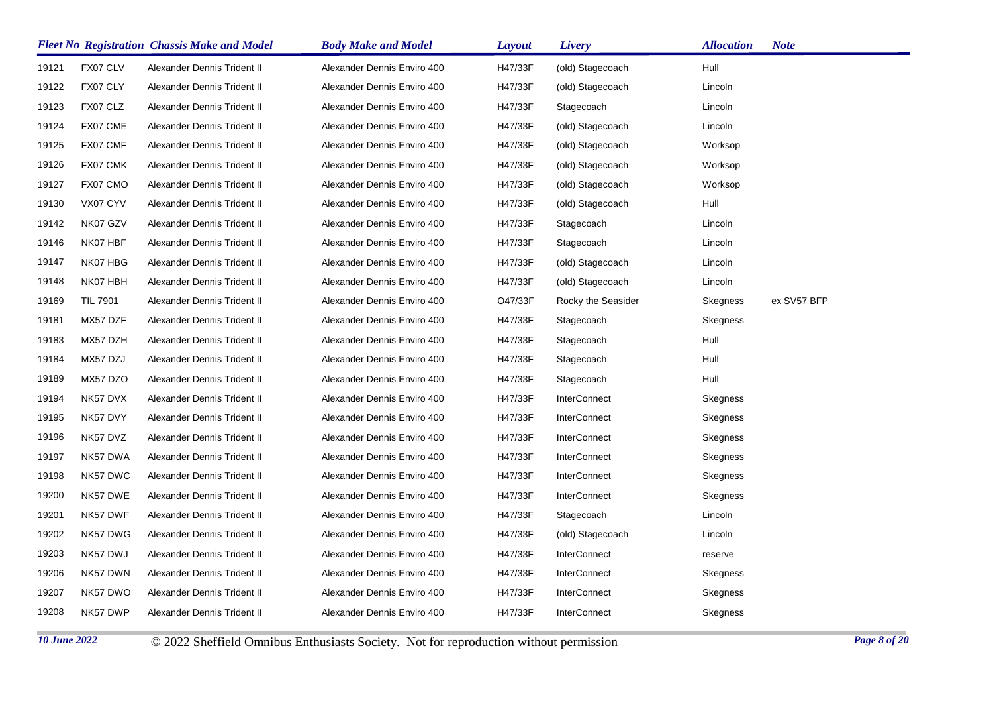|       |                 | <b>Fleet No Registration Chassis Make and Model</b> | <b>Body Make and Model</b>  | <b>Layout</b> | Livery              | <b>Allocation</b> | <b>Note</b> |
|-------|-----------------|-----------------------------------------------------|-----------------------------|---------------|---------------------|-------------------|-------------|
| 19121 | FX07 CLV        | Alexander Dennis Trident II                         | Alexander Dennis Enviro 400 | H47/33F       | (old) Stagecoach    | Hull              |             |
| 19122 | FX07 CLY        | Alexander Dennis Trident II                         | Alexander Dennis Enviro 400 | H47/33F       | (old) Stagecoach    | Lincoln           |             |
| 19123 | FX07 CLZ        | Alexander Dennis Trident II                         | Alexander Dennis Enviro 400 | H47/33F       | Stagecoach          | Lincoln           |             |
| 19124 | FX07 CME        | Alexander Dennis Trident II                         | Alexander Dennis Enviro 400 | H47/33F       | (old) Stagecoach    | Lincoln           |             |
| 19125 | FX07 CMF        | Alexander Dennis Trident II                         | Alexander Dennis Enviro 400 | H47/33F       | (old) Stagecoach    | Worksop           |             |
| 19126 | FX07 CMK        | Alexander Dennis Trident II                         | Alexander Dennis Enviro 400 | H47/33F       | (old) Stagecoach    | Worksop           |             |
| 19127 | FX07 CMO        | Alexander Dennis Trident II                         | Alexander Dennis Enviro 400 | H47/33F       | (old) Stagecoach    | Worksop           |             |
| 19130 | VX07 CYV        | Alexander Dennis Trident II                         | Alexander Dennis Enviro 400 | H47/33F       | (old) Stagecoach    | Hull              |             |
| 19142 | NK07 GZV        | Alexander Dennis Trident II                         | Alexander Dennis Enviro 400 | H47/33F       | Stagecoach          | Lincoln           |             |
| 19146 | NK07 HBF        | Alexander Dennis Trident II                         | Alexander Dennis Enviro 400 | H47/33F       | Stagecoach          | Lincoln           |             |
| 19147 | NK07 HBG        | Alexander Dennis Trident II                         | Alexander Dennis Enviro 400 | H47/33F       | (old) Stagecoach    | Lincoln           |             |
| 19148 | NK07 HBH        | Alexander Dennis Trident II                         | Alexander Dennis Enviro 400 | H47/33F       | (old) Stagecoach    | Lincoln           |             |
| 19169 | <b>TIL 7901</b> | Alexander Dennis Trident II                         | Alexander Dennis Enviro 400 | O47/33F       | Rocky the Seasider  | Skegness          | ex SV57 BFP |
| 19181 | MX57 DZF        | Alexander Dennis Trident II                         | Alexander Dennis Enviro 400 | H47/33F       | Stagecoach          | Skegness          |             |
| 19183 | MX57 DZH        | Alexander Dennis Trident II                         | Alexander Dennis Enviro 400 | H47/33F       | Stagecoach          | Hull              |             |
| 19184 | MX57 DZJ        | Alexander Dennis Trident II                         | Alexander Dennis Enviro 400 | H47/33F       | Stagecoach          | Hull              |             |
| 19189 | MX57 DZO        | Alexander Dennis Trident II                         | Alexander Dennis Enviro 400 | H47/33F       | Stagecoach          | Hull              |             |
| 19194 | NK57 DVX        | Alexander Dennis Trident II                         | Alexander Dennis Enviro 400 | H47/33F       | <b>InterConnect</b> | Skegness          |             |
| 19195 | NK57 DVY        | Alexander Dennis Trident II                         | Alexander Dennis Enviro 400 | H47/33F       | <b>InterConnect</b> | Skegness          |             |
| 19196 | NK57 DVZ        | Alexander Dennis Trident II                         | Alexander Dennis Enviro 400 | H47/33F       | <b>InterConnect</b> | Skegness          |             |
| 19197 | NK57 DWA        | Alexander Dennis Trident II                         | Alexander Dennis Enviro 400 | H47/33F       | <b>InterConnect</b> | Skegness          |             |
| 19198 | NK57 DWC        | Alexander Dennis Trident II                         | Alexander Dennis Enviro 400 | H47/33F       | <b>InterConnect</b> | Skegness          |             |
| 19200 | NK57 DWE        | Alexander Dennis Trident II                         | Alexander Dennis Enviro 400 | H47/33F       | <b>InterConnect</b> | Skegness          |             |
| 19201 | NK57 DWF        | Alexander Dennis Trident II                         | Alexander Dennis Enviro 400 | H47/33F       | Stagecoach          | Lincoln           |             |
| 19202 | NK57 DWG        | Alexander Dennis Trident II                         | Alexander Dennis Enviro 400 | H47/33F       | (old) Stagecoach    | Lincoln           |             |
| 19203 | NK57 DWJ        | Alexander Dennis Trident II                         | Alexander Dennis Enviro 400 | H47/33F       | <b>InterConnect</b> | reserve           |             |
| 19206 | NK57 DWN        | Alexander Dennis Trident II                         | Alexander Dennis Enviro 400 | H47/33F       | InterConnect        | Skegness          |             |
| 19207 | NK57 DWO        | Alexander Dennis Trident II                         | Alexander Dennis Enviro 400 | H47/33F       | <b>InterConnect</b> | Skegness          |             |
| 19208 | NK57 DWP        | Alexander Dennis Trident II                         | Alexander Dennis Enviro 400 | H47/33F       | <b>InterConnect</b> | Skegness          |             |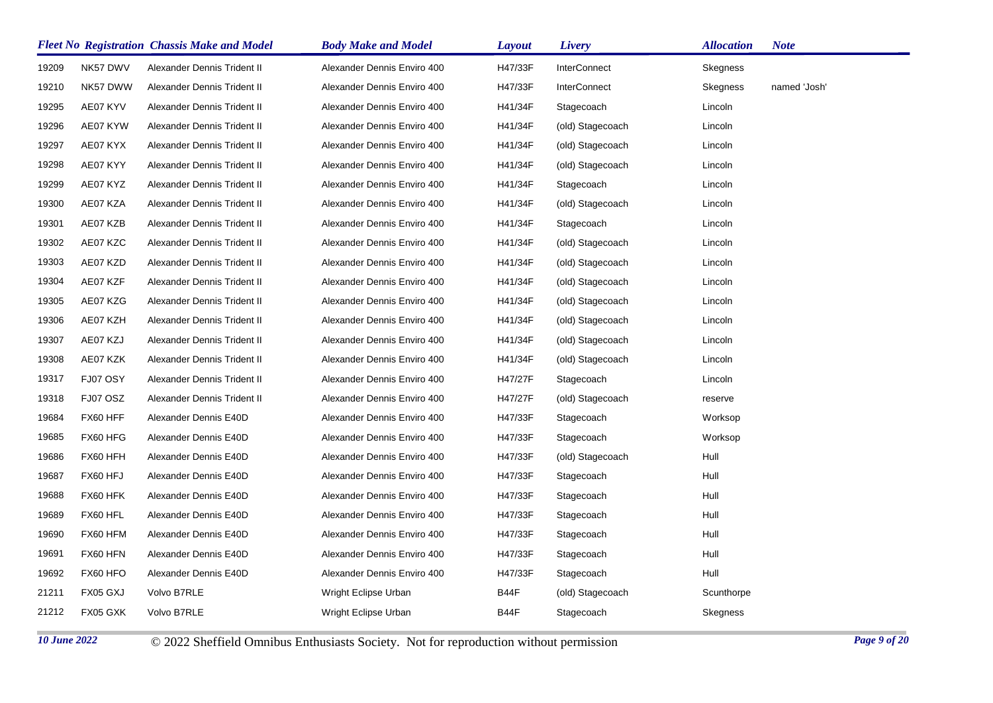|       |          | <b>Fleet No Registration Chassis Make and Model</b> | <b>Body Make and Model</b>  | Layout  | Livery              | Allocation | <b>Note</b>  |
|-------|----------|-----------------------------------------------------|-----------------------------|---------|---------------------|------------|--------------|
| 19209 | NK57 DWV | Alexander Dennis Trident II                         | Alexander Dennis Enviro 400 | H47/33F | <b>InterConnect</b> | Skegness   |              |
| 19210 | NK57 DWW | Alexander Dennis Trident II                         | Alexander Dennis Enviro 400 | H47/33F | <b>InterConnect</b> | Skegness   | named 'Josh' |
| 19295 | AE07 KYV | Alexander Dennis Trident II                         | Alexander Dennis Enviro 400 | H41/34F | Stagecoach          | Lincoln    |              |
| 19296 | AE07 KYW | Alexander Dennis Trident II                         | Alexander Dennis Enviro 400 | H41/34F | (old) Stagecoach    | Lincoln    |              |
| 19297 | AE07 KYX | Alexander Dennis Trident II                         | Alexander Dennis Enviro 400 | H41/34F | (old) Stagecoach    | Lincoln    |              |
| 19298 | AE07 KYY | Alexander Dennis Trident II                         | Alexander Dennis Enviro 400 | H41/34F | (old) Stagecoach    | Lincoln    |              |
| 19299 | AE07 KYZ | Alexander Dennis Trident II                         | Alexander Dennis Enviro 400 | H41/34F | Stagecoach          | Lincoln    |              |
| 19300 | AE07 KZA | Alexander Dennis Trident II                         | Alexander Dennis Enviro 400 | H41/34F | (old) Stagecoach    | Lincoln    |              |
| 19301 | AE07 KZB | Alexander Dennis Trident II                         | Alexander Dennis Enviro 400 | H41/34F | Stagecoach          | Lincoln    |              |
| 19302 | AE07 KZC | Alexander Dennis Trident II                         | Alexander Dennis Enviro 400 | H41/34F | (old) Stagecoach    | Lincoln    |              |
| 19303 | AE07 KZD | Alexander Dennis Trident II                         | Alexander Dennis Enviro 400 | H41/34F | (old) Stagecoach    | Lincoln    |              |
| 19304 | AE07 KZF | Alexander Dennis Trident II                         | Alexander Dennis Enviro 400 | H41/34F | (old) Stagecoach    | Lincoln    |              |
| 19305 | AE07 KZG | Alexander Dennis Trident II                         | Alexander Dennis Enviro 400 | H41/34F | (old) Stagecoach    | Lincoln    |              |
| 19306 | AE07 KZH | Alexander Dennis Trident II                         | Alexander Dennis Enviro 400 | H41/34F | (old) Stagecoach    | Lincoln    |              |
| 19307 | AE07 KZJ | Alexander Dennis Trident II                         | Alexander Dennis Enviro 400 | H41/34F | (old) Stagecoach    | Lincoln    |              |
| 19308 | AE07 KZK | Alexander Dennis Trident II                         | Alexander Dennis Enviro 400 | H41/34F | (old) Stagecoach    | Lincoln    |              |
| 19317 | FJ07 OSY | Alexander Dennis Trident II                         | Alexander Dennis Enviro 400 | H47/27F | Stagecoach          | Lincoln    |              |
| 19318 | FJ07 OSZ | Alexander Dennis Trident II                         | Alexander Dennis Enviro 400 | H47/27F | (old) Stagecoach    | reserve    |              |
| 19684 | FX60 HFF | Alexander Dennis E40D                               | Alexander Dennis Enviro 400 | H47/33F | Stagecoach          | Worksop    |              |
| 19685 | FX60 HFG | Alexander Dennis E40D                               | Alexander Dennis Enviro 400 | H47/33F | Stagecoach          | Worksop    |              |
| 19686 | FX60 HFH | Alexander Dennis E40D                               | Alexander Dennis Enviro 400 | H47/33F | (old) Stagecoach    | Hull       |              |
| 19687 | FX60 HFJ | Alexander Dennis E40D                               | Alexander Dennis Enviro 400 | H47/33F | Stagecoach          | Hull       |              |
| 19688 | FX60 HFK | Alexander Dennis E40D                               | Alexander Dennis Enviro 400 | H47/33F | Stagecoach          | Hull       |              |
| 19689 | FX60 HFL | Alexander Dennis E40D                               | Alexander Dennis Enviro 400 | H47/33F | Stagecoach          | Hull       |              |
| 19690 | FX60 HFM | Alexander Dennis E40D                               | Alexander Dennis Enviro 400 | H47/33F | Stagecoach          | Hull       |              |
| 19691 | FX60 HFN | Alexander Dennis E40D                               | Alexander Dennis Enviro 400 | H47/33F | Stagecoach          | Hull       |              |
| 19692 | FX60 HFO | Alexander Dennis E40D                               | Alexander Dennis Enviro 400 | H47/33F | Stagecoach          | Hull       |              |
| 21211 | FX05 GXJ | Volvo B7RLE                                         | Wright Eclipse Urban        | B44F    | (old) Stagecoach    | Scunthorpe |              |
| 21212 | FX05 GXK | Volvo B7RLE                                         | Wright Eclipse Urban        | B44F    | Stagecoach          | Skegness   |              |
|       |          |                                                     |                             |         |                     |            |              |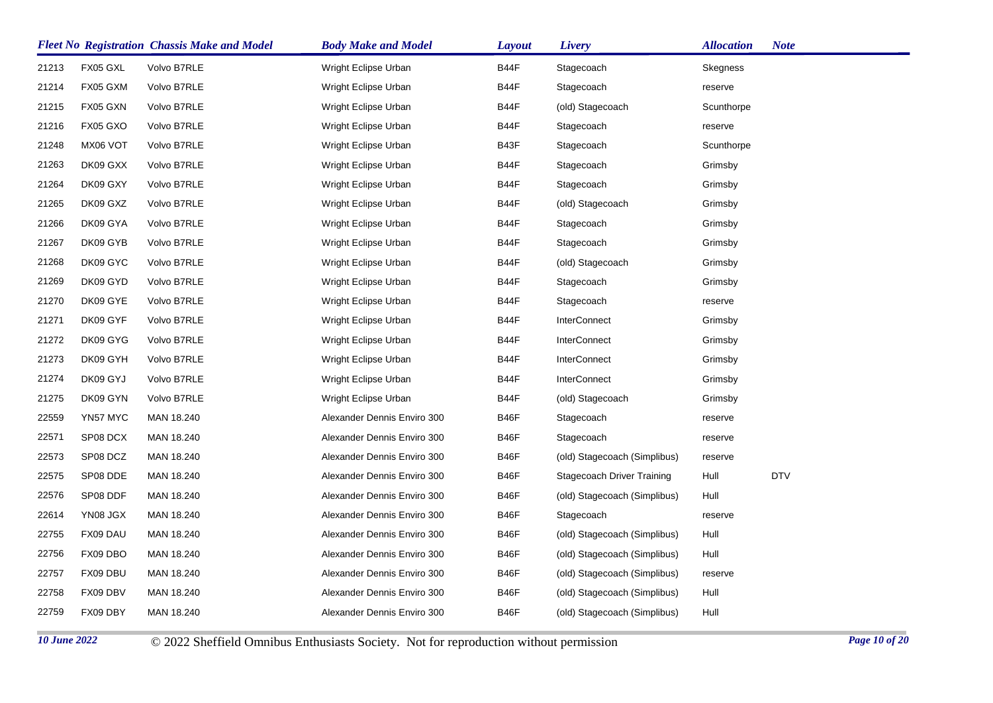|       |          | <b>Fleet No Registration Chassis Make and Model</b> | <b>Body Make and Model</b>  | <b>Layout</b> | <b>Livery</b>                | <b>Allocation</b> | <b>Note</b> |
|-------|----------|-----------------------------------------------------|-----------------------------|---------------|------------------------------|-------------------|-------------|
| 21213 | FX05 GXL | Volvo B7RLE                                         | Wright Eclipse Urban        | B44F          | Stagecoach                   | Skegness          |             |
| 21214 | FX05 GXM | Volvo B7RLE                                         | Wright Eclipse Urban        | B44F          | Stagecoach                   | reserve           |             |
| 21215 | FX05 GXN | Volvo B7RLE                                         | Wright Eclipse Urban        | B44F          | (old) Stagecoach             | Scunthorpe        |             |
| 21216 | FX05 GXO | Volvo B7RLE                                         | Wright Eclipse Urban        | B44F          | Stagecoach                   | reserve           |             |
| 21248 | MX06 VOT | Volvo B7RLE                                         | Wright Eclipse Urban        | B43F          | Stagecoach                   | Scunthorpe        |             |
| 21263 | DK09 GXX | Volvo B7RLE                                         | Wright Eclipse Urban        | B44F          | Stagecoach                   | Grimsby           |             |
| 21264 | DK09 GXY | Volvo B7RLE                                         | Wright Eclipse Urban        | B44F          | Stagecoach                   | Grimsby           |             |
| 21265 | DK09 GXZ | Volvo B7RLE                                         | Wright Eclipse Urban        | B44F          | (old) Stagecoach             | Grimsby           |             |
| 21266 | DK09 GYA | Volvo B7RLE                                         | Wright Eclipse Urban        | B44F          | Stagecoach                   | Grimsby           |             |
| 21267 | DK09 GYB | Volvo B7RLE                                         | Wright Eclipse Urban        | B44F          | Stagecoach                   | Grimsby           |             |
| 21268 | DK09 GYC | Volvo B7RLE                                         | Wright Eclipse Urban        | B44F          | (old) Stagecoach             | Grimsby           |             |
| 21269 | DK09 GYD | Volvo B7RLE                                         | Wright Eclipse Urban        | B44F          | Stagecoach                   | Grimsby           |             |
| 21270 | DK09 GYE | Volvo B7RLE                                         | Wright Eclipse Urban        | B44F          | Stagecoach                   | reserve           |             |
| 21271 | DK09 GYF | Volvo B7RLE                                         | Wright Eclipse Urban        | B44F          | <b>InterConnect</b>          | Grimsby           |             |
| 21272 | DK09 GYG | Volvo B7RLE                                         | Wright Eclipse Urban        | B44F          | <b>InterConnect</b>          | Grimsby           |             |
| 21273 | DK09 GYH | Volvo B7RLE                                         | Wright Eclipse Urban        | B44F          | <b>InterConnect</b>          | Grimsby           |             |
| 21274 | DK09 GYJ | Volvo B7RLE                                         | Wright Eclipse Urban        | B44F          | <b>InterConnect</b>          | Grimsby           |             |
| 21275 | DK09 GYN | Volvo B7RLE                                         | Wright Eclipse Urban        | B44F          | (old) Stagecoach             | Grimsby           |             |
| 22559 | YN57 MYC | MAN 18.240                                          | Alexander Dennis Enviro 300 | B46F          | Stagecoach                   | reserve           |             |
| 22571 | SP08 DCX | MAN 18.240                                          | Alexander Dennis Enviro 300 | B46F          | Stagecoach                   | reserve           |             |
| 22573 | SP08 DCZ | MAN 18.240                                          | Alexander Dennis Enviro 300 | B46F          | (old) Stagecoach (Simplibus) | reserve           |             |
| 22575 | SP08 DDE | MAN 18.240                                          | Alexander Dennis Enviro 300 | B46F          | Stagecoach Driver Training   | Hull              | <b>DTV</b>  |
| 22576 | SP08 DDF | MAN 18.240                                          | Alexander Dennis Enviro 300 | B46F          | (old) Stagecoach (Simplibus) | Hull              |             |
| 22614 | YN08 JGX | MAN 18.240                                          | Alexander Dennis Enviro 300 | B46F          | Stagecoach                   | reserve           |             |
| 22755 | FX09 DAU | MAN 18.240                                          | Alexander Dennis Enviro 300 | B46F          | (old) Stagecoach (Simplibus) | Hull              |             |
| 22756 | FX09 DBO | MAN 18.240                                          | Alexander Dennis Enviro 300 | B46F          | (old) Stagecoach (Simplibus) | Hull              |             |
| 22757 | FX09 DBU | MAN 18.240                                          | Alexander Dennis Enviro 300 | B46F          | (old) Stagecoach (Simplibus) | reserve           |             |
| 22758 | FX09 DBV | MAN 18.240                                          | Alexander Dennis Enviro 300 | B46F          | (old) Stagecoach (Simplibus) | Hull              |             |
| 22759 | FX09 DBY | MAN 18.240                                          | Alexander Dennis Enviro 300 | B46F          | (old) Stagecoach (Simplibus) | Hull              |             |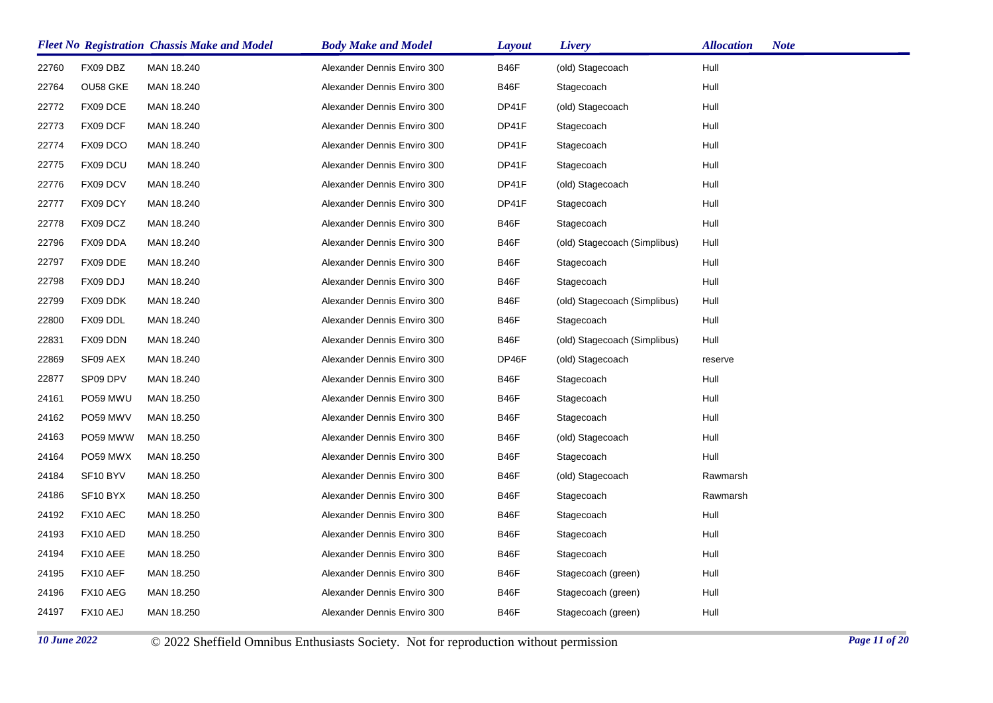|       |          | <b>Fleet No Registration Chassis Make and Model</b> | <b>Body Make and Model</b>  | <b>Layout</b> | Livery                       | <b>Allocation</b><br><b>Note</b> |
|-------|----------|-----------------------------------------------------|-----------------------------|---------------|------------------------------|----------------------------------|
| 22760 | FX09 DBZ | MAN 18.240                                          | Alexander Dennis Enviro 300 | <b>B46F</b>   | (old) Stagecoach             | Hull                             |
| 22764 | OU58 GKE | MAN 18.240                                          | Alexander Dennis Enviro 300 | B46F          | Stagecoach                   | Hull                             |
| 22772 | FX09 DCE | MAN 18.240                                          | Alexander Dennis Enviro 300 | DP41F         | (old) Stagecoach             | Hull                             |
| 22773 | FX09 DCF | MAN 18.240                                          | Alexander Dennis Enviro 300 | DP41F         | Stagecoach                   | Hull                             |
| 22774 | FX09 DCO | MAN 18.240                                          | Alexander Dennis Enviro 300 | DP41F         | Stagecoach                   | Hull                             |
| 22775 | FX09 DCU | MAN 18.240                                          | Alexander Dennis Enviro 300 | DP41F         | Stagecoach                   | Hull                             |
| 22776 | FX09 DCV | MAN 18.240                                          | Alexander Dennis Enviro 300 | DP41F         | (old) Stagecoach             | Hull                             |
| 22777 | FX09 DCY | MAN 18.240                                          | Alexander Dennis Enviro 300 | DP41F         | Stagecoach                   | Hull                             |
| 22778 | FX09 DCZ | MAN 18.240                                          | Alexander Dennis Enviro 300 | B46F          | Stagecoach                   | Hull                             |
| 22796 | FX09 DDA | MAN 18.240                                          | Alexander Dennis Enviro 300 | B46F          | (old) Stagecoach (Simplibus) | Hull                             |
| 22797 | FX09 DDE | MAN 18.240                                          | Alexander Dennis Enviro 300 | B46F          | Stagecoach                   | Hull                             |
| 22798 | FX09 DDJ | MAN 18.240                                          | Alexander Dennis Enviro 300 | <b>B46F</b>   | Stagecoach                   | Hull                             |
| 22799 | FX09 DDK | MAN 18.240                                          | Alexander Dennis Enviro 300 | <b>B46F</b>   | (old) Stagecoach (Simplibus) | Hull                             |
| 22800 | FX09 DDL | MAN 18.240                                          | Alexander Dennis Enviro 300 | <b>B46F</b>   | Stagecoach                   | Hull                             |
| 22831 | FX09 DDN | MAN 18.240                                          | Alexander Dennis Enviro 300 | B46F          | (old) Stagecoach (Simplibus) | Hull                             |
| 22869 | SF09 AEX | MAN 18.240                                          | Alexander Dennis Enviro 300 | DP46F         | (old) Stagecoach             | reserve                          |
| 22877 | SP09 DPV | MAN 18.240                                          | Alexander Dennis Enviro 300 | <b>B46F</b>   | Stagecoach                   | Hull                             |
| 24161 | PO59 MWU | MAN 18.250                                          | Alexander Dennis Enviro 300 | <b>B46F</b>   | Stagecoach                   | Hull                             |
| 24162 | PO59 MWV | MAN 18.250                                          | Alexander Dennis Enviro 300 | <b>B46F</b>   | Stagecoach                   | Hull                             |
| 24163 | PO59 MWW | MAN 18.250                                          | Alexander Dennis Enviro 300 | <b>B46F</b>   | (old) Stagecoach             | Hull                             |
| 24164 | PO59 MWX | MAN 18.250                                          | Alexander Dennis Enviro 300 | <b>B46F</b>   | Stagecoach                   | Hull                             |
| 24184 | SF10 BYV | MAN 18.250                                          | Alexander Dennis Enviro 300 | <b>B46F</b>   | (old) Stagecoach             | Rawmarsh                         |
| 24186 | SF10 BYX | MAN 18.250                                          | Alexander Dennis Enviro 300 | <b>B46F</b>   | Stagecoach                   | Rawmarsh                         |
| 24192 | FX10 AEC | MAN 18.250                                          | Alexander Dennis Enviro 300 | <b>B46F</b>   | Stagecoach                   | Hull                             |
| 24193 | FX10 AED | MAN 18.250                                          | Alexander Dennis Enviro 300 | B46F          | Stagecoach                   | Hull                             |
| 24194 | FX10 AEE | MAN 18.250                                          | Alexander Dennis Enviro 300 | <b>B46F</b>   | Stagecoach                   | Hull                             |
| 24195 | FX10 AEF | MAN 18.250                                          | Alexander Dennis Enviro 300 | B46F          | Stagecoach (green)           | Hull                             |
| 24196 | FX10 AEG | MAN 18.250                                          | Alexander Dennis Enviro 300 | B46F          | Stagecoach (green)           | Hull                             |
| 24197 | FX10 AEJ | MAN 18.250                                          | Alexander Dennis Enviro 300 | <b>B46F</b>   | Stagecoach (green)           | Hull                             |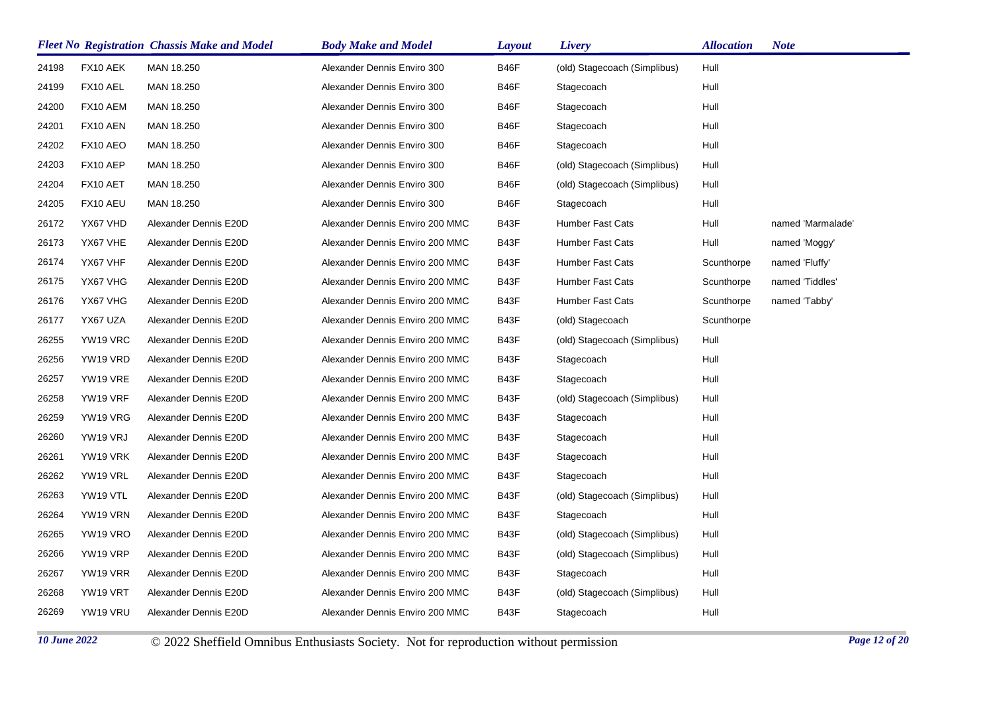|       |          | <b>Fleet No Registration Chassis Make and Model</b> | <b>Body Make and Model</b>      | <b>Layout</b> | Livery                       | <b>Allocation</b> | <b>Note</b>       |
|-------|----------|-----------------------------------------------------|---------------------------------|---------------|------------------------------|-------------------|-------------------|
| 24198 | FX10 AEK | MAN 18.250                                          | Alexander Dennis Enviro 300     | B46F          | (old) Stagecoach (Simplibus) | Hull              |                   |
| 24199 | FX10 AEL | MAN 18.250                                          | Alexander Dennis Enviro 300     | B46F          | Stagecoach                   | Hull              |                   |
| 24200 | FX10 AEM | MAN 18.250                                          | Alexander Dennis Enviro 300     | B46F          | Stagecoach                   | Hull              |                   |
| 24201 | FX10 AEN | MAN 18.250                                          | Alexander Dennis Enviro 300     | B46F          | Stagecoach                   | Hull              |                   |
| 24202 | FX10 AEO | MAN 18.250                                          | Alexander Dennis Enviro 300     | B46F          | Stagecoach                   | Hull              |                   |
| 24203 | FX10 AEP | MAN 18.250                                          | Alexander Dennis Enviro 300     | B46F          | (old) Stagecoach (Simplibus) | Hull              |                   |
| 24204 | FX10 AET | MAN 18.250                                          | Alexander Dennis Enviro 300     | B46F          | (old) Stagecoach (Simplibus) | Hull              |                   |
| 24205 | FX10 AEU | MAN 18.250                                          | Alexander Dennis Enviro 300     | B46F          | Stagecoach                   | Hull              |                   |
| 26172 | YX67 VHD | Alexander Dennis E20D                               | Alexander Dennis Enviro 200 MMC | B43F          | <b>Humber Fast Cats</b>      | Hull              | named 'Marmalade' |
| 26173 | YX67 VHE | Alexander Dennis E20D                               | Alexander Dennis Enviro 200 MMC | B43F          | <b>Humber Fast Cats</b>      | Hull              | named 'Moggy'     |
| 26174 | YX67 VHF | Alexander Dennis E20D                               | Alexander Dennis Enviro 200 MMC | B43F          | Humber Fast Cats             | Scunthorpe        | named 'Fluffy'    |
| 26175 | YX67 VHG | Alexander Dennis E20D                               | Alexander Dennis Enviro 200 MMC | B43F          | <b>Humber Fast Cats</b>      | Scunthorpe        | named 'Tiddles'   |
| 26176 | YX67 VHG | Alexander Dennis E20D                               | Alexander Dennis Enviro 200 MMC | B43F          | <b>Humber Fast Cats</b>      | Scunthorpe        | named 'Tabby'     |
| 26177 | YX67 UZA | Alexander Dennis E20D                               | Alexander Dennis Enviro 200 MMC | B43F          | (old) Stagecoach             | Scunthorpe        |                   |
| 26255 | YW19 VRC | Alexander Dennis E20D                               | Alexander Dennis Enviro 200 MMC | B43F          | (old) Stagecoach (Simplibus) | Hull              |                   |
| 26256 | YW19 VRD | Alexander Dennis E20D                               | Alexander Dennis Enviro 200 MMC | B43F          | Stagecoach                   | Hull              |                   |
| 26257 | YW19 VRE | Alexander Dennis E20D                               | Alexander Dennis Enviro 200 MMC | B43F          | Stagecoach                   | Hull              |                   |
| 26258 | YW19 VRF | Alexander Dennis E20D                               | Alexander Dennis Enviro 200 MMC | B43F          | (old) Stagecoach (Simplibus) | Hull              |                   |
| 26259 | YW19 VRG | Alexander Dennis E20D                               | Alexander Dennis Enviro 200 MMC | B43F          | Stagecoach                   | Hull              |                   |
| 26260 | YW19 VRJ | Alexander Dennis E20D                               | Alexander Dennis Enviro 200 MMC | B43F          | Stagecoach                   | Hull              |                   |
| 26261 | YW19 VRK | Alexander Dennis E20D                               | Alexander Dennis Enviro 200 MMC | B43F          | Stagecoach                   | Hull              |                   |
| 26262 | YW19 VRL | Alexander Dennis E20D                               | Alexander Dennis Enviro 200 MMC | B43F          | Stagecoach                   | Hull              |                   |
| 26263 | YW19 VTL | Alexander Dennis E20D                               | Alexander Dennis Enviro 200 MMC | B43F          | (old) Stagecoach (Simplibus) | Hull              |                   |
| 26264 | YW19 VRN | Alexander Dennis E20D                               | Alexander Dennis Enviro 200 MMC | B43F          | Stagecoach                   | Hull              |                   |
| 26265 | YW19 VRO | Alexander Dennis E20D                               | Alexander Dennis Enviro 200 MMC | B43F          | (old) Stagecoach (Simplibus) | Hull              |                   |
| 26266 | YW19 VRP | Alexander Dennis E20D                               | Alexander Dennis Enviro 200 MMC | B43F          | (old) Stagecoach (Simplibus) | Hull              |                   |
| 26267 | YW19 VRR | Alexander Dennis E20D                               | Alexander Dennis Enviro 200 MMC | B43F          | Stagecoach                   | Hull              |                   |
| 26268 | YW19 VRT | Alexander Dennis E20D                               | Alexander Dennis Enviro 200 MMC | B43F          | (old) Stagecoach (Simplibus) | Hull              |                   |
| 26269 | YW19 VRU | Alexander Dennis E20D                               | Alexander Dennis Enviro 200 MMC | B43F          | Stagecoach                   | Hull              |                   |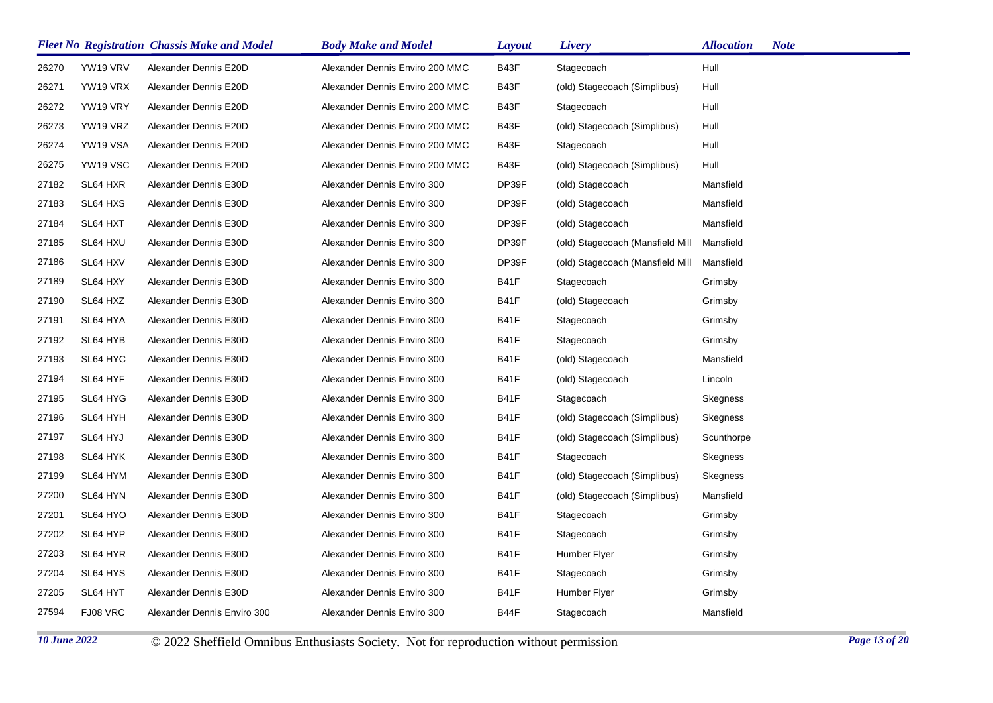| <b>Fleet No Registration Chassis Make and Model</b> |          |                             | <b>Body Make and Model</b>      | <b>Layout</b> | Livery                           | <b>Allocation</b> | <b>Note</b> |
|-----------------------------------------------------|----------|-----------------------------|---------------------------------|---------------|----------------------------------|-------------------|-------------|
| 26270                                               | YW19 VRV | Alexander Dennis E20D       | Alexander Dennis Enviro 200 MMC | B43F          | Stagecoach                       | Hull              |             |
| 26271                                               | YW19 VRX | Alexander Dennis E20D       | Alexander Dennis Enviro 200 MMC | B43F          | (old) Stagecoach (Simplibus)     | Hull              |             |
| 26272                                               | YW19 VRY | Alexander Dennis E20D       | Alexander Dennis Enviro 200 MMC | B43F          | Stagecoach                       | Hull              |             |
| 26273                                               | YW19 VRZ | Alexander Dennis E20D       | Alexander Dennis Enviro 200 MMC | B43F          | (old) Stagecoach (Simplibus)     | Hull              |             |
| 26274                                               | YW19 VSA | Alexander Dennis E20D       | Alexander Dennis Enviro 200 MMC | B43F          | Stagecoach                       | Hull              |             |
| 26275                                               | YW19 VSC | Alexander Dennis E20D       | Alexander Dennis Enviro 200 MMC | B43F          | (old) Stagecoach (Simplibus)     | Hull              |             |
| 27182                                               | SL64 HXR | Alexander Dennis E30D       | Alexander Dennis Enviro 300     | DP39F         | (old) Stagecoach                 | Mansfield         |             |
| 27183                                               | SL64 HXS | Alexander Dennis E30D       | Alexander Dennis Enviro 300     | DP39F         | (old) Stagecoach                 | Mansfield         |             |
| 27184                                               | SL64 HXT | Alexander Dennis E30D       | Alexander Dennis Enviro 300     | DP39F         | (old) Stagecoach                 | Mansfield         |             |
| 27185                                               | SL64 HXU | Alexander Dennis E30D       | Alexander Dennis Enviro 300     | DP39F         | (old) Stagecoach (Mansfield Mill | Mansfield         |             |
| 27186                                               | SL64 HXV | Alexander Dennis E30D       | Alexander Dennis Enviro 300     | DP39F         | (old) Stagecoach (Mansfield Mill | Mansfield         |             |
| 27189                                               | SL64 HXY | Alexander Dennis E30D       | Alexander Dennis Enviro 300     | <b>B41F</b>   | Stagecoach                       | Grimsby           |             |
| 27190                                               | SL64 HXZ | Alexander Dennis E30D       | Alexander Dennis Enviro 300     | <b>B41F</b>   | (old) Stagecoach                 | Grimsby           |             |
| 27191                                               | SL64 HYA | Alexander Dennis E30D       | Alexander Dennis Enviro 300     | <b>B41F</b>   | Stagecoach                       | Grimsby           |             |
| 27192                                               | SL64 HYB | Alexander Dennis E30D       | Alexander Dennis Enviro 300     | <b>B41F</b>   | Stagecoach                       | Grimsby           |             |
| 27193                                               | SL64 HYC | Alexander Dennis E30D       | Alexander Dennis Enviro 300     | <b>B41F</b>   | (old) Stagecoach                 | Mansfield         |             |
| 27194                                               | SL64 HYF | Alexander Dennis E30D       | Alexander Dennis Enviro 300     | <b>B41F</b>   | (old) Stagecoach                 | Lincoln           |             |
| 27195                                               | SL64 HYG | Alexander Dennis E30D       | Alexander Dennis Enviro 300     | <b>B41F</b>   | Stagecoach                       | Skegness          |             |
| 27196                                               | SL64 HYH | Alexander Dennis E30D       | Alexander Dennis Enviro 300     | <b>B41F</b>   | (old) Stagecoach (Simplibus)     | Skegness          |             |
| 27197                                               | SL64 HYJ | Alexander Dennis E30D       | Alexander Dennis Enviro 300     | <b>B41F</b>   | (old) Stagecoach (Simplibus)     | Scunthorpe        |             |
| 27198                                               | SL64 HYK | Alexander Dennis E30D       | Alexander Dennis Enviro 300     | <b>B41F</b>   | Stagecoach                       | Skegness          |             |
| 27199                                               | SL64 HYM | Alexander Dennis E30D       | Alexander Dennis Enviro 300     | <b>B41F</b>   | (old) Stagecoach (Simplibus)     | Skegness          |             |
| 27200                                               | SL64 HYN | Alexander Dennis E30D       | Alexander Dennis Enviro 300     | <b>B41F</b>   | (old) Stagecoach (Simplibus)     | Mansfield         |             |
| 27201                                               | SL64 HYO | Alexander Dennis E30D       | Alexander Dennis Enviro 300     | <b>B41F</b>   | Stagecoach                       | Grimsby           |             |
| 27202                                               | SL64 HYP | Alexander Dennis E30D       | Alexander Dennis Enviro 300     | <b>B41F</b>   | Stagecoach                       | Grimsby           |             |
| 27203                                               | SL64 HYR | Alexander Dennis E30D       | Alexander Dennis Enviro 300     | <b>B41F</b>   | Humber Flyer                     | Grimsby           |             |
| 27204                                               | SL64 HYS | Alexander Dennis E30D       | Alexander Dennis Enviro 300     | <b>B41F</b>   | Stagecoach                       | Grimsby           |             |
| 27205                                               | SL64 HYT | Alexander Dennis E30D       | Alexander Dennis Enviro 300     | <b>B41F</b>   | Humber Flyer                     | Grimsby           |             |
| 27594                                               | FJ08 VRC | Alexander Dennis Enviro 300 | Alexander Dennis Enviro 300     | B44F          | Stagecoach                       | Mansfield         |             |
|                                                     |          |                             |                                 |               |                                  |                   |             |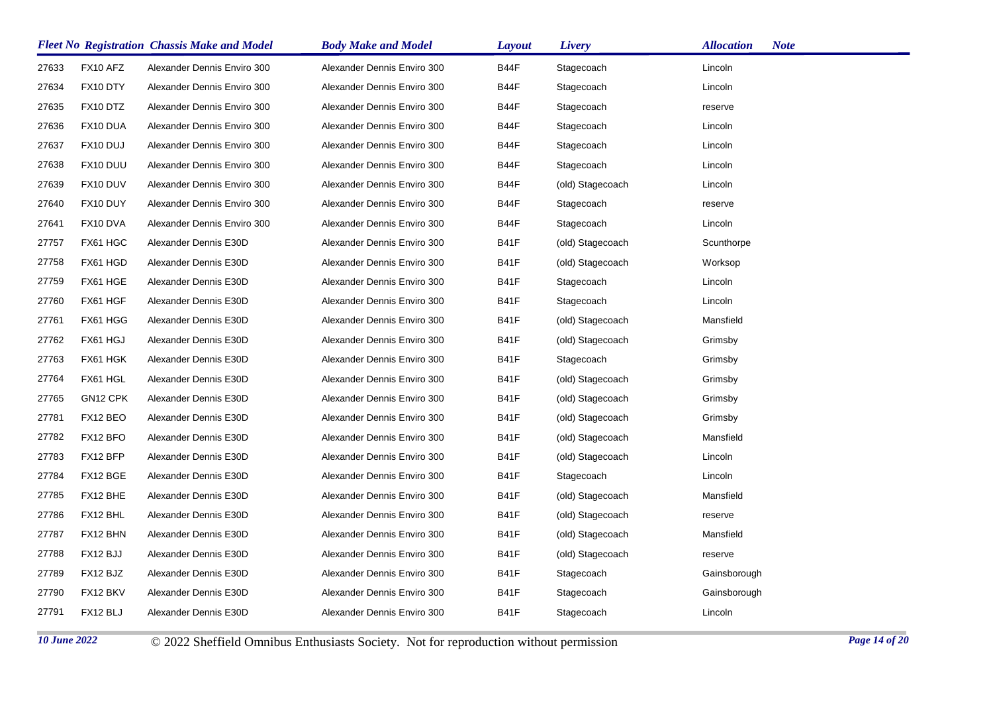|       |          | <b>Fleet No Registration Chassis Make and Model</b> | <b>Body Make and Model</b>  | Layout      | Livery           | <b>Allocation</b><br><b>Note</b> |
|-------|----------|-----------------------------------------------------|-----------------------------|-------------|------------------|----------------------------------|
| 27633 | FX10 AFZ | Alexander Dennis Enviro 300                         | Alexander Dennis Enviro 300 | B44F        | Stagecoach       | Lincoln                          |
| 27634 | FX10 DTY | Alexander Dennis Enviro 300                         | Alexander Dennis Enviro 300 | B44F        | Stagecoach       | Lincoln                          |
| 27635 | FX10 DTZ | Alexander Dennis Enviro 300                         | Alexander Dennis Enviro 300 | B44F        | Stagecoach       | reserve                          |
| 27636 | FX10 DUA | Alexander Dennis Enviro 300                         | Alexander Dennis Enviro 300 | B44F        | Stagecoach       | Lincoln                          |
| 27637 | FX10 DUJ | Alexander Dennis Enviro 300                         | Alexander Dennis Enviro 300 | B44F        | Stagecoach       | Lincoln                          |
| 27638 | FX10 DUU | Alexander Dennis Enviro 300                         | Alexander Dennis Enviro 300 | B44F        | Stagecoach       | Lincoln                          |
| 27639 | FX10 DUV | Alexander Dennis Enviro 300                         | Alexander Dennis Enviro 300 | B44F        | (old) Stagecoach | Lincoln                          |
| 27640 | FX10 DUY | Alexander Dennis Enviro 300                         | Alexander Dennis Enviro 300 | B44F        | Stagecoach       | reserve                          |
| 27641 | FX10 DVA | Alexander Dennis Enviro 300                         | Alexander Dennis Enviro 300 | B44F        | Stagecoach       | Lincoln                          |
| 27757 | FX61 HGC | Alexander Dennis E30D                               | Alexander Dennis Enviro 300 | <b>B41F</b> | (old) Stagecoach | Scunthorpe                       |
| 27758 | FX61 HGD | Alexander Dennis E30D                               | Alexander Dennis Enviro 300 | <b>B41F</b> | (old) Stagecoach | Worksop                          |
| 27759 | FX61 HGE | Alexander Dennis E30D                               | Alexander Dennis Enviro 300 | <b>B41F</b> | Stagecoach       | Lincoln                          |
| 27760 | FX61 HGF | Alexander Dennis E30D                               | Alexander Dennis Enviro 300 | <b>B41F</b> | Stagecoach       | Lincoln                          |
| 27761 | FX61 HGG | Alexander Dennis E30D                               | Alexander Dennis Enviro 300 | <b>B41F</b> | (old) Stagecoach | Mansfield                        |
| 27762 | FX61 HGJ | Alexander Dennis E30D                               | Alexander Dennis Enviro 300 | <b>B41F</b> | (old) Stagecoach | Grimsby                          |
| 27763 | FX61 HGK | Alexander Dennis E30D                               | Alexander Dennis Enviro 300 | <b>B41F</b> | Stagecoach       | Grimsby                          |
| 27764 | FX61 HGL | Alexander Dennis E30D                               | Alexander Dennis Enviro 300 | <b>B41F</b> | (old) Stagecoach | Grimsby                          |
| 27765 | GN12 CPK | Alexander Dennis E30D                               | Alexander Dennis Enviro 300 | <b>B41F</b> | (old) Stagecoach | Grimsby                          |
| 27781 | FX12 BEO | Alexander Dennis E30D                               | Alexander Dennis Enviro 300 | <b>B41F</b> | (old) Stagecoach | Grimsby                          |
| 27782 | FX12 BFO | Alexander Dennis E30D                               | Alexander Dennis Enviro 300 | <b>B41F</b> | (old) Stagecoach | Mansfield                        |
| 27783 | FX12 BFP | Alexander Dennis E30D                               | Alexander Dennis Enviro 300 | <b>B41F</b> | (old) Stagecoach | Lincoln                          |
| 27784 | FX12 BGE | Alexander Dennis E30D                               | Alexander Dennis Enviro 300 | <b>B41F</b> | Stagecoach       | Lincoln                          |
| 27785 | FX12 BHE | Alexander Dennis E30D                               | Alexander Dennis Enviro 300 | <b>B41F</b> | (old) Stagecoach | Mansfield                        |
| 27786 | FX12 BHL | Alexander Dennis E30D                               | Alexander Dennis Enviro 300 | <b>B41F</b> | (old) Stagecoach | reserve                          |
| 27787 | FX12 BHN | Alexander Dennis E30D                               | Alexander Dennis Enviro 300 | <b>B41F</b> | (old) Stagecoach | Mansfield                        |
| 27788 | FX12 BJJ | Alexander Dennis E30D                               | Alexander Dennis Enviro 300 | <b>B41F</b> | (old) Stagecoach | reserve                          |
| 27789 | FX12 BJZ | Alexander Dennis E30D                               | Alexander Dennis Enviro 300 | <b>B41F</b> | Stagecoach       | Gainsborough                     |
| 27790 | FX12 BKV | Alexander Dennis E30D                               | Alexander Dennis Enviro 300 | <b>B41F</b> | Stagecoach       | Gainsborough                     |
| 27791 | FX12 BLJ | Alexander Dennis E30D                               | Alexander Dennis Enviro 300 | <b>B41F</b> | Stagecoach       | Lincoln                          |
|       |          |                                                     |                             |             |                  |                                  |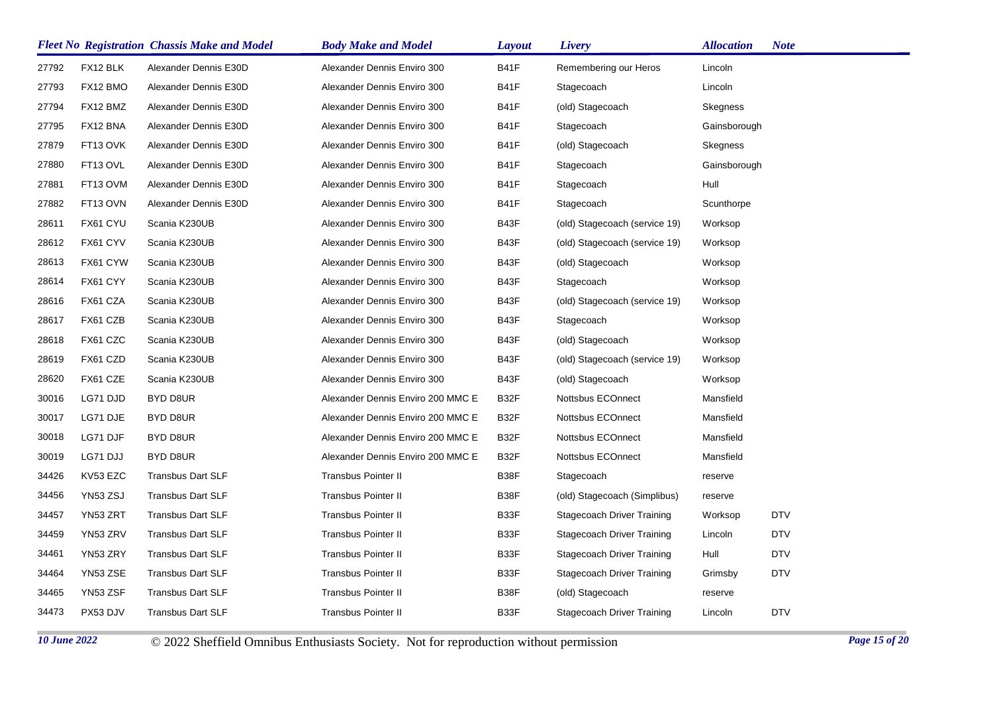| <b>Fleet No Registration Chassis Make and Model</b> |          |                          | <b>Body Make and Model</b>        | <b>Layout</b> | Livery                            | <b>Allocation</b> | <b>Note</b> |
|-----------------------------------------------------|----------|--------------------------|-----------------------------------|---------------|-----------------------------------|-------------------|-------------|
| 27792                                               | FX12 BLK | Alexander Dennis E30D    | Alexander Dennis Enviro 300       | <b>B41F</b>   | Remembering our Heros             | Lincoln           |             |
| 27793                                               | FX12 BMO | Alexander Dennis E30D    | Alexander Dennis Enviro 300       | <b>B41F</b>   | Stagecoach                        | Lincoln           |             |
| 27794                                               | FX12 BMZ | Alexander Dennis E30D    | Alexander Dennis Enviro 300       | <b>B41F</b>   | (old) Stagecoach                  | Skegness          |             |
| 27795                                               | FX12 BNA | Alexander Dennis E30D    | Alexander Dennis Enviro 300       | <b>B41F</b>   | Stagecoach                        | Gainsborough      |             |
| 27879                                               | FT13 OVK | Alexander Dennis E30D    | Alexander Dennis Enviro 300       | <b>B41F</b>   | (old) Stagecoach                  | Skegness          |             |
| 27880                                               | FT13 OVL | Alexander Dennis E30D    | Alexander Dennis Enviro 300       | <b>B41F</b>   | Stagecoach                        | Gainsborough      |             |
| 27881                                               | FT13 OVM | Alexander Dennis E30D    | Alexander Dennis Enviro 300       | <b>B41F</b>   | Stagecoach                        | Hull              |             |
| 27882                                               | FT13 OVN | Alexander Dennis E30D    | Alexander Dennis Enviro 300       | <b>B41F</b>   | Stagecoach                        | Scunthorpe        |             |
| 28611                                               | FX61 CYU | Scania K230UB            | Alexander Dennis Enviro 300       | B43F          | (old) Stagecoach (service 19)     | Worksop           |             |
| 28612                                               | FX61 CYV | Scania K230UB            | Alexander Dennis Enviro 300       | B43F          | (old) Stagecoach (service 19)     | Worksop           |             |
| 28613                                               | FX61 CYW | Scania K230UB            | Alexander Dennis Enviro 300       | B43F          | (old) Stagecoach                  | Worksop           |             |
| 28614                                               | FX61 CYY | Scania K230UB            | Alexander Dennis Enviro 300       | B43F          | Stagecoach                        | Worksop           |             |
| 28616                                               | FX61 CZA | Scania K230UB            | Alexander Dennis Enviro 300       | B43F          | (old) Stagecoach (service 19)     | Worksop           |             |
| 28617                                               | FX61 CZB | Scania K230UB            | Alexander Dennis Enviro 300       | B43F          | Stagecoach                        | Worksop           |             |
| 28618                                               | FX61 CZC | Scania K230UB            | Alexander Dennis Enviro 300       | B43F          | (old) Stagecoach                  | Worksop           |             |
| 28619                                               | FX61 CZD | Scania K230UB            | Alexander Dennis Enviro 300       | B43F          | (old) Stagecoach (service 19)     | Worksop           |             |
| 28620                                               | FX61 CZE | Scania K230UB            | Alexander Dennis Enviro 300       | B43F          | (old) Stagecoach                  | Worksop           |             |
| 30016                                               | LG71 DJD | BYD D8UR                 | Alexander Dennis Enviro 200 MMC E | B32F          | Nottsbus ECOnnect                 | Mansfield         |             |
| 30017                                               | LG71 DJE | BYD D8UR                 | Alexander Dennis Enviro 200 MMC E | B32F          | Nottsbus ECOnnect                 | Mansfield         |             |
| 30018                                               | LG71 DJF | BYD D8UR                 | Alexander Dennis Enviro 200 MMC E | B32F          | Nottsbus ECOnnect                 | Mansfield         |             |
| 30019                                               | LG71 DJJ | BYD D8UR                 | Alexander Dennis Enviro 200 MMC E | B32F          | Nottsbus ECOnnect                 | Mansfield         |             |
| 34426                                               | KV53 EZC | <b>Transbus Dart SLF</b> | <b>Transbus Pointer II</b>        | B38F          | Stagecoach                        | reserve           |             |
| 34456                                               | YN53 ZSJ | <b>Transbus Dart SLF</b> | <b>Transbus Pointer II</b>        | B38F          | (old) Stagecoach (Simplibus)      | reserve           |             |
| 34457                                               | YN53 ZRT | <b>Transbus Dart SLF</b> | <b>Transbus Pointer II</b>        | B33F          | Stagecoach Driver Training        | Worksop           | <b>DTV</b>  |
| 34459                                               | YN53 ZRV | <b>Transbus Dart SLF</b> | <b>Transbus Pointer II</b>        | B33F          | <b>Stagecoach Driver Training</b> | Lincoln           | <b>DTV</b>  |
| 34461                                               | YN53 ZRY | <b>Transbus Dart SLF</b> | <b>Transbus Pointer II</b>        | B33F          | Stagecoach Driver Training        | Hull              | <b>DTV</b>  |
| 34464                                               | YN53 ZSE | <b>Transbus Dart SLF</b> | <b>Transbus Pointer II</b>        | B33F          | <b>Stagecoach Driver Training</b> | Grimsby           | <b>DTV</b>  |
| 34465                                               | YN53 ZSF | <b>Transbus Dart SLF</b> | <b>Transbus Pointer II</b>        | B38F          | (old) Stagecoach                  | reserve           |             |
| 34473                                               | PX53 DJV | <b>Transbus Dart SLF</b> | <b>Transbus Pointer II</b>        | B33F          | <b>Stagecoach Driver Training</b> | Lincoln           | <b>DTV</b>  |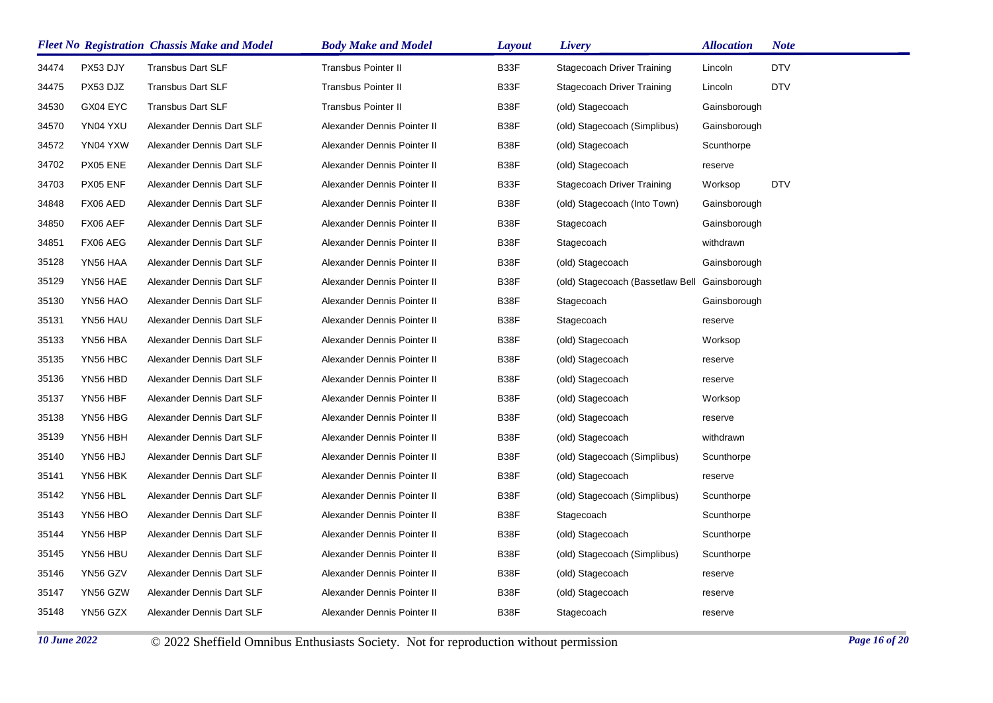|       |          | <b>Fleet No Registration Chassis Make and Model</b> | <b>Body Make and Model</b>  | <b>Layout</b> | <b>Livery</b>                     | <b>Allocation</b> | <b>Note</b> |
|-------|----------|-----------------------------------------------------|-----------------------------|---------------|-----------------------------------|-------------------|-------------|
| 34474 | PX53 DJY | <b>Transbus Dart SLF</b>                            | <b>Transbus Pointer II</b>  | B33F          | <b>Stagecoach Driver Training</b> | Lincoln           | <b>DTV</b>  |
| 34475 | PX53 DJZ | <b>Transbus Dart SLF</b>                            | <b>Transbus Pointer II</b>  | B33F          | <b>Stagecoach Driver Training</b> | Lincoln           | <b>DTV</b>  |
| 34530 | GX04 EYC | <b>Transbus Dart SLF</b>                            | <b>Transbus Pointer II</b>  | B38F          | (old) Stagecoach                  | Gainsborough      |             |
| 34570 | YN04 YXU | Alexander Dennis Dart SLF                           | Alexander Dennis Pointer II | B38F          | (old) Stagecoach (Simplibus)      | Gainsborough      |             |
| 34572 | YN04 YXW | Alexander Dennis Dart SLF                           | Alexander Dennis Pointer II | B38F          | (old) Stagecoach                  | Scunthorpe        |             |
| 34702 | PX05 ENE | Alexander Dennis Dart SLF                           | Alexander Dennis Pointer II | B38F          | (old) Stagecoach                  | reserve           |             |
| 34703 | PX05 ENF | Alexander Dennis Dart SLF                           | Alexander Dennis Pointer II | B33F          | <b>Stagecoach Driver Training</b> | Worksop           | <b>DTV</b>  |
| 34848 | FX06 AED | Alexander Dennis Dart SLF                           | Alexander Dennis Pointer II | B38F          | (old) Stagecoach (Into Town)      | Gainsborough      |             |
| 34850 | FX06 AEF | Alexander Dennis Dart SLF                           | Alexander Dennis Pointer II | B38F          | Stagecoach                        | Gainsborough      |             |
| 34851 | FX06 AEG | Alexander Dennis Dart SLF                           | Alexander Dennis Pointer II | B38F          | Stagecoach                        | withdrawn         |             |
| 35128 | YN56 HAA | Alexander Dennis Dart SLF                           | Alexander Dennis Pointer II | B38F          | (old) Stagecoach                  | Gainsborough      |             |
| 35129 | YN56 HAE | Alexander Dennis Dart SLF                           | Alexander Dennis Pointer II | B38F          | (old) Stagecoach (Bassetlaw Bell  | Gainsborough      |             |
| 35130 | YN56 HAO | Alexander Dennis Dart SLF                           | Alexander Dennis Pointer II | B38F          | Stagecoach                        | Gainsborough      |             |
| 35131 | YN56 HAU | Alexander Dennis Dart SLF                           | Alexander Dennis Pointer II | B38F          | Stagecoach                        | reserve           |             |
| 35133 | YN56 HBA | Alexander Dennis Dart SLF                           | Alexander Dennis Pointer II | B38F          | (old) Stagecoach                  | Worksop           |             |
| 35135 | YN56 HBC | Alexander Dennis Dart SLF                           | Alexander Dennis Pointer II | B38F          | (old) Stagecoach                  | reserve           |             |
| 35136 | YN56 HBD | Alexander Dennis Dart SLF                           | Alexander Dennis Pointer II | B38F          | (old) Stagecoach                  | reserve           |             |
| 35137 | YN56 HBF | Alexander Dennis Dart SLF                           | Alexander Dennis Pointer II | B38F          | (old) Stagecoach                  | Worksop           |             |
| 35138 | YN56 HBG | Alexander Dennis Dart SLF                           | Alexander Dennis Pointer II | B38F          | (old) Stagecoach                  | reserve           |             |
| 35139 | YN56 HBH | Alexander Dennis Dart SLF                           | Alexander Dennis Pointer II | B38F          | (old) Stagecoach                  | withdrawn         |             |
| 35140 | YN56 HBJ | Alexander Dennis Dart SLF                           | Alexander Dennis Pointer II | B38F          | (old) Stagecoach (Simplibus)      | Scunthorpe        |             |
| 35141 | YN56 HBK | Alexander Dennis Dart SLF                           | Alexander Dennis Pointer II | B38F          | (old) Stagecoach                  | reserve           |             |
| 35142 | YN56 HBL | Alexander Dennis Dart SLF                           | Alexander Dennis Pointer II | B38F          | (old) Stagecoach (Simplibus)      | Scunthorpe        |             |
| 35143 | YN56 HBO | Alexander Dennis Dart SLF                           | Alexander Dennis Pointer II | B38F          | Stagecoach                        | Scunthorpe        |             |
| 35144 | YN56 HBP | Alexander Dennis Dart SLF                           | Alexander Dennis Pointer II | B38F          | (old) Stagecoach                  | Scunthorpe        |             |
| 35145 | YN56 HBU | Alexander Dennis Dart SLF                           | Alexander Dennis Pointer II | B38F          | (old) Stagecoach (Simplibus)      | Scunthorpe        |             |
| 35146 | YN56 GZV | Alexander Dennis Dart SLF                           | Alexander Dennis Pointer II | B38F          | (old) Stagecoach                  | reserve           |             |
| 35147 | YN56 GZW | Alexander Dennis Dart SLF                           | Alexander Dennis Pointer II | B38F          | (old) Stagecoach                  | reserve           |             |
| 35148 | YN56 GZX | Alexander Dennis Dart SLF                           | Alexander Dennis Pointer II | B38F          | Stagecoach                        | reserve           |             |
|       |          |                                                     |                             |               |                                   |                   |             |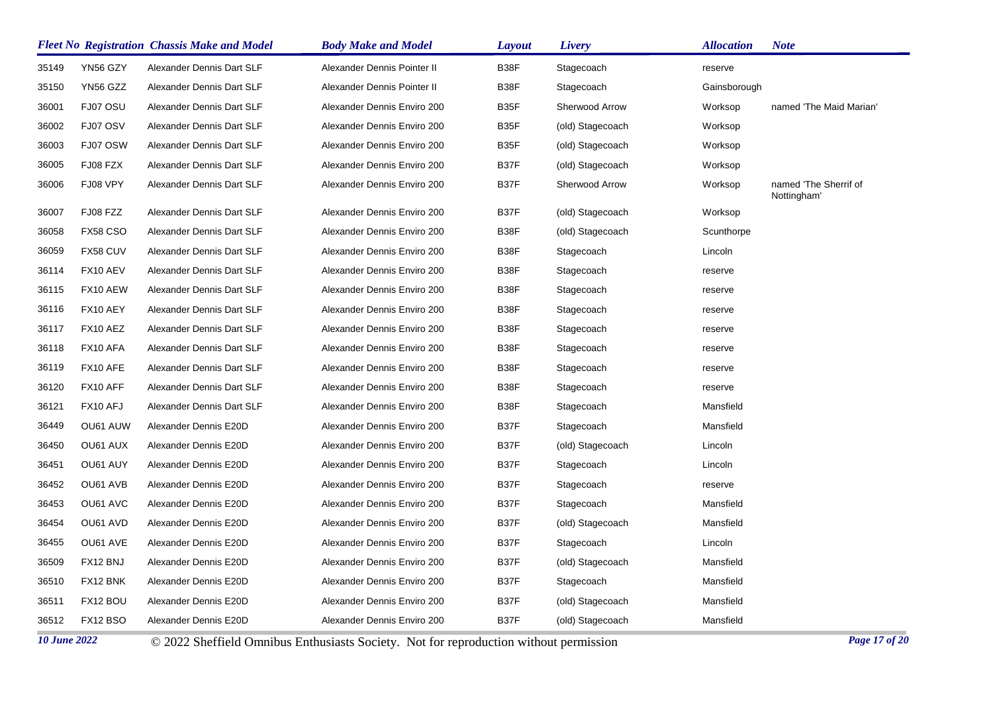|       |                 | <b>Fleet No Registration Chassis Make and Model</b> | <b>Body Make and Model</b>  | Layout            | Livery           | <b>Allocation</b> | <b>Note</b>                          |
|-------|-----------------|-----------------------------------------------------|-----------------------------|-------------------|------------------|-------------------|--------------------------------------|
| 35149 | YN56 GZY        | Alexander Dennis Dart SLF                           | Alexander Dennis Pointer II | B38F              | Stagecoach       | reserve           |                                      |
| 35150 | YN56 GZZ        | Alexander Dennis Dart SLF                           | Alexander Dennis Pointer II | B38F              | Stagecoach       | Gainsborough      |                                      |
| 36001 | FJ07 OSU        | Alexander Dennis Dart SLF                           | Alexander Dennis Enviro 200 | B35F              | Sherwood Arrow   | Worksop           | named 'The Maid Marian'              |
| 36002 | FJ07 OSV        | Alexander Dennis Dart SLF                           | Alexander Dennis Enviro 200 | B35F              | (old) Stagecoach | Worksop           |                                      |
| 36003 | FJ07 OSW        | Alexander Dennis Dart SLF                           | Alexander Dennis Enviro 200 | B <sub>35</sub> F | (old) Stagecoach | Worksop           |                                      |
| 36005 | FJ08 FZX        | Alexander Dennis Dart SLF                           | Alexander Dennis Enviro 200 | B37F              | (old) Stagecoach | Worksop           |                                      |
| 36006 | FJ08 VPY        | Alexander Dennis Dart SLF                           | Alexander Dennis Enviro 200 | B37F              | Sherwood Arrow   | Worksop           | named 'The Sherrif of<br>Nottingham' |
| 36007 | FJ08 FZZ        | Alexander Dennis Dart SLF                           | Alexander Dennis Enviro 200 | B37F              | (old) Stagecoach | Worksop           |                                      |
| 36058 | <b>FX58 CSO</b> | Alexander Dennis Dart SLF                           | Alexander Dennis Enviro 200 | B38F              | (old) Stagecoach | Scunthorpe        |                                      |
| 36059 | FX58 CUV        | Alexander Dennis Dart SLF                           | Alexander Dennis Enviro 200 | B38F              | Stagecoach       | Lincoln           |                                      |
| 36114 | FX10 AEV        | Alexander Dennis Dart SLF                           | Alexander Dennis Enviro 200 | B38F              | Stagecoach       | reserve           |                                      |
| 36115 | FX10 AEW        | Alexander Dennis Dart SLF                           | Alexander Dennis Enviro 200 | B38F              | Stagecoach       | reserve           |                                      |
| 36116 | FX10 AEY        | Alexander Dennis Dart SLF                           | Alexander Dennis Enviro 200 | B38F              | Stagecoach       | reserve           |                                      |
| 36117 | FX10 AEZ        | Alexander Dennis Dart SLF                           | Alexander Dennis Enviro 200 | B38F              | Stagecoach       | reserve           |                                      |
| 36118 | FX10 AFA        | Alexander Dennis Dart SLF                           | Alexander Dennis Enviro 200 | B38F              | Stagecoach       | reserve           |                                      |
| 36119 | FX10 AFE        | Alexander Dennis Dart SLF                           | Alexander Dennis Enviro 200 | B38F              | Stagecoach       | reserve           |                                      |
| 36120 | FX10 AFF        | Alexander Dennis Dart SLF                           | Alexander Dennis Enviro 200 | B38F              | Stagecoach       | reserve           |                                      |
| 36121 | FX10 AFJ        | Alexander Dennis Dart SLF                           | Alexander Dennis Enviro 200 | B38F              | Stagecoach       | Mansfield         |                                      |
| 36449 | OU61 AUW        | Alexander Dennis E20D                               | Alexander Dennis Enviro 200 | B37F              | Stagecoach       | Mansfield         |                                      |
| 36450 | OU61 AUX        | Alexander Dennis E20D                               | Alexander Dennis Enviro 200 | B37F              | (old) Stagecoach | Lincoln           |                                      |
| 36451 | OU61 AUY        | Alexander Dennis E20D                               | Alexander Dennis Enviro 200 | B37F              | Stagecoach       | Lincoln           |                                      |
| 36452 | OU61 AVB        | Alexander Dennis E20D                               | Alexander Dennis Enviro 200 | B37F              | Stagecoach       | reserve           |                                      |
| 36453 | OU61 AVC        | Alexander Dennis E20D                               | Alexander Dennis Enviro 200 | B37F              | Stagecoach       | Mansfield         |                                      |
| 36454 | OU61 AVD        | Alexander Dennis E20D                               | Alexander Dennis Enviro 200 | B37F              | (old) Stagecoach | Mansfield         |                                      |
| 36455 | OU61 AVE        | Alexander Dennis E20D                               | Alexander Dennis Enviro 200 | B37F              | Stagecoach       | Lincoln           |                                      |
| 36509 | FX12 BNJ        | Alexander Dennis E20D                               | Alexander Dennis Enviro 200 | B37F              | (old) Stagecoach | Mansfield         |                                      |
| 36510 | FX12 BNK        | Alexander Dennis E20D                               | Alexander Dennis Enviro 200 | B37F              | Stagecoach       | Mansfield         |                                      |
| 36511 | FX12 BOU        | Alexander Dennis E20D                               | Alexander Dennis Enviro 200 | B37F              | (old) Stagecoach | Mansfield         |                                      |
| 36512 | FX12 BSO        | Alexander Dennis E20D                               | Alexander Dennis Enviro 200 | B37F              | (old) Stagecoach | Mansfield         |                                      |

*10 June 2022* © 2022 Sheffield Omnibus Enthusiasts Society. Not for reproduction without permission *Page 17 of 20*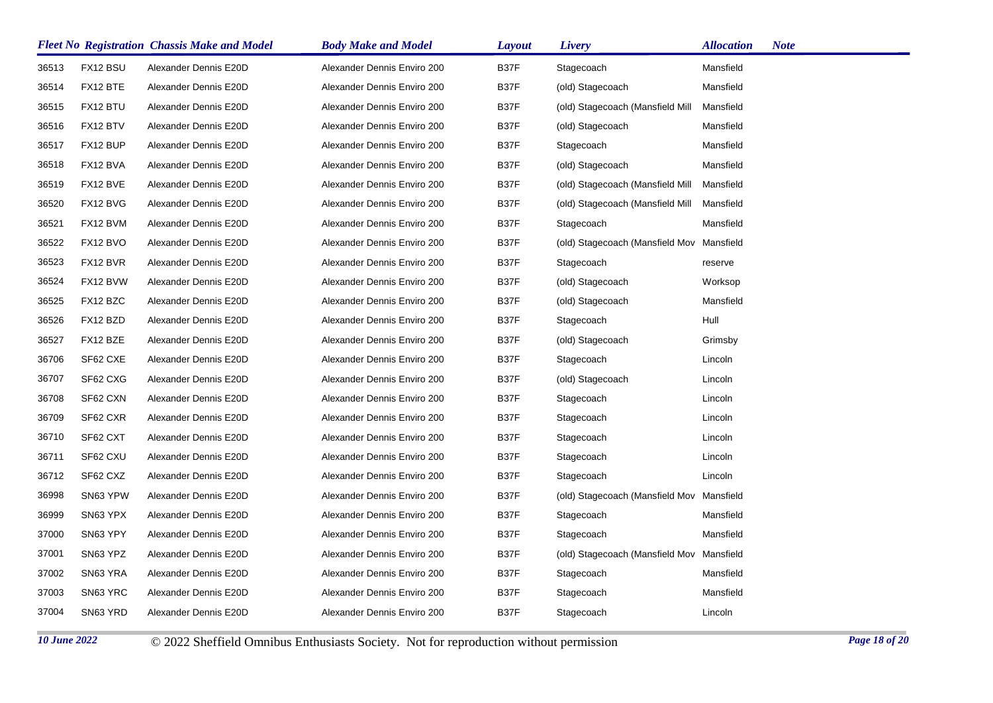|       |          | <b>Fleet No Registration Chassis Make and Model</b> | <b>Body Make and Model</b>  | <b>Layout</b> | Livery                                    | <b>Allocation</b> | <b>Note</b> |
|-------|----------|-----------------------------------------------------|-----------------------------|---------------|-------------------------------------------|-------------------|-------------|
| 36513 | FX12 BSU | Alexander Dennis E20D                               | Alexander Dennis Enviro 200 | B37F          | Stagecoach                                | Mansfield         |             |
| 36514 | FX12 BTE | Alexander Dennis E20D                               | Alexander Dennis Enviro 200 | B37F          | (old) Stagecoach                          | Mansfield         |             |
| 36515 | FX12 BTU | Alexander Dennis E20D                               | Alexander Dennis Enviro 200 | B37F          | (old) Stagecoach (Mansfield Mill          | Mansfield         |             |
| 36516 | FX12 BTV | Alexander Dennis E20D                               | Alexander Dennis Enviro 200 | B37F          | (old) Stagecoach                          | Mansfield         |             |
| 36517 | FX12 BUP | Alexander Dennis E20D                               | Alexander Dennis Enviro 200 | B37F          | Stagecoach                                | Mansfield         |             |
| 36518 | FX12 BVA | Alexander Dennis E20D                               | Alexander Dennis Enviro 200 | B37F          | (old) Stagecoach                          | Mansfield         |             |
| 36519 | FX12 BVE | Alexander Dennis E20D                               | Alexander Dennis Enviro 200 | B37F          | (old) Stagecoach (Mansfield Mill          | Mansfield         |             |
| 36520 | FX12 BVG | Alexander Dennis E20D                               | Alexander Dennis Enviro 200 | B37F          | (old) Stagecoach (Mansfield Mill          | Mansfield         |             |
| 36521 | FX12 BVM | Alexander Dennis E20D                               | Alexander Dennis Enviro 200 | B37F          | Stagecoach                                | Mansfield         |             |
| 36522 | FX12 BVO | Alexander Dennis E20D                               | Alexander Dennis Enviro 200 | B37F          | (old) Stagecoach (Mansfield Mov           | Mansfield         |             |
| 36523 | FX12 BVR | Alexander Dennis E20D                               | Alexander Dennis Enviro 200 | B37F          | Stagecoach                                | reserve           |             |
| 36524 | FX12 BVW | Alexander Dennis E20D                               | Alexander Dennis Enviro 200 | B37F          | (old) Stagecoach                          | Worksop           |             |
| 36525 | FX12 BZC | Alexander Dennis E20D                               | Alexander Dennis Enviro 200 | B37F          | (old) Stagecoach                          | Mansfield         |             |
| 36526 | FX12 BZD | Alexander Dennis E20D                               | Alexander Dennis Enviro 200 | B37F          | Stagecoach                                | Hull              |             |
| 36527 | FX12 BZE | Alexander Dennis E20D                               | Alexander Dennis Enviro 200 | B37F          | (old) Stagecoach                          | Grimsby           |             |
| 36706 | SF62 CXE | Alexander Dennis E20D                               | Alexander Dennis Enviro 200 | B37F          | Stagecoach                                | Lincoln           |             |
| 36707 | SF62 CXG | Alexander Dennis E20D                               | Alexander Dennis Enviro 200 | B37F          | (old) Stagecoach                          | Lincoln           |             |
| 36708 | SF62 CXN | Alexander Dennis E20D                               | Alexander Dennis Enviro 200 | B37F          | Stagecoach                                | Lincoln           |             |
| 36709 | SF62 CXR | Alexander Dennis E20D                               | Alexander Dennis Enviro 200 | B37F          | Stagecoach                                | Lincoln           |             |
| 36710 | SF62 CXT | Alexander Dennis E20D                               | Alexander Dennis Enviro 200 | B37F          | Stagecoach                                | Lincoln           |             |
| 36711 | SF62 CXU | Alexander Dennis E20D                               | Alexander Dennis Enviro 200 | B37F          | Stagecoach                                | Lincoln           |             |
| 36712 | SF62 CXZ | Alexander Dennis E20D                               | Alexander Dennis Enviro 200 | B37F          | Stagecoach                                | Lincoln           |             |
| 36998 | SN63 YPW | Alexander Dennis E20D                               | Alexander Dennis Enviro 200 | B37F          | (old) Stagecoach (Mansfield Mov           | Mansfield         |             |
| 36999 | SN63 YPX | Alexander Dennis E20D                               | Alexander Dennis Enviro 200 | B37F          | Stagecoach                                | Mansfield         |             |
| 37000 | SN63 YPY | Alexander Dennis E20D                               | Alexander Dennis Enviro 200 | B37F          | Stagecoach                                | Mansfield         |             |
| 37001 | SN63 YPZ | Alexander Dennis E20D                               | Alexander Dennis Enviro 200 | B37F          | (old) Stagecoach (Mansfield Mov Mansfield |                   |             |
| 37002 | SN63 YRA | Alexander Dennis E20D                               | Alexander Dennis Enviro 200 | B37F          | Stagecoach                                | Mansfield         |             |
| 37003 | SN63 YRC | Alexander Dennis E20D                               | Alexander Dennis Enviro 200 | B37F          | Stagecoach                                | Mansfield         |             |
| 37004 | SN63 YRD | Alexander Dennis E20D                               | Alexander Dennis Enviro 200 | B37F          | Stagecoach                                | Lincoln           |             |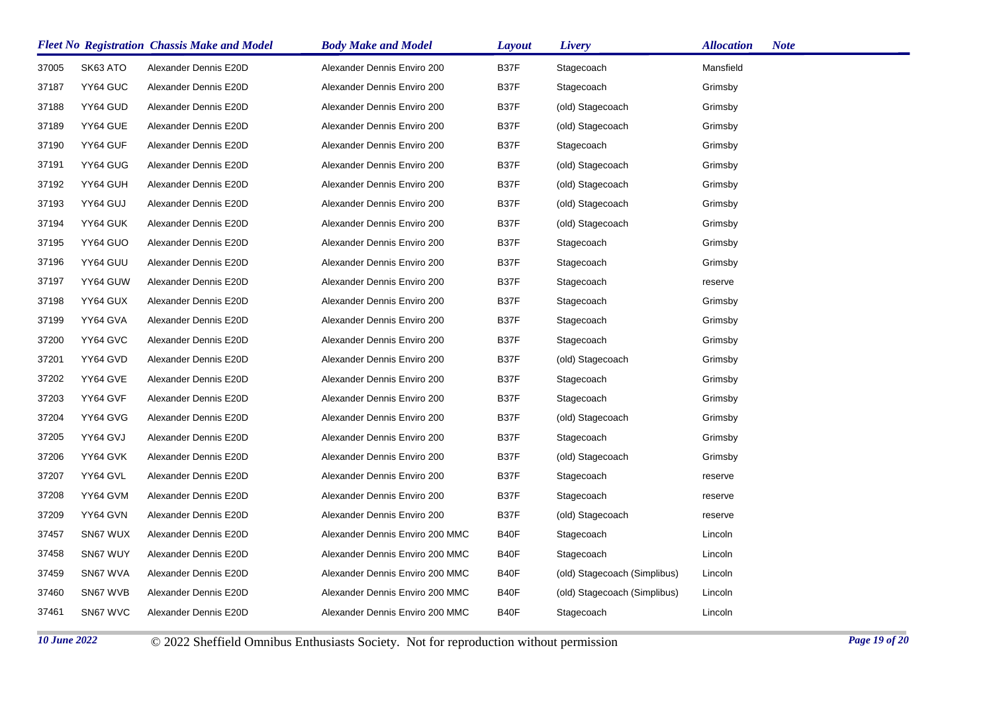|       |          | <b>Fleet No Registration Chassis Make and Model</b> | <b>Body Make and Model</b>      | <b>Layout</b> | Livery                       | <b>Allocation</b><br><b>Note</b> |
|-------|----------|-----------------------------------------------------|---------------------------------|---------------|------------------------------|----------------------------------|
| 37005 | SK63 ATO | Alexander Dennis E20D                               | Alexander Dennis Enviro 200     | B37F          | Stagecoach                   | Mansfield                        |
| 37187 | YY64 GUC | Alexander Dennis E20D                               | Alexander Dennis Enviro 200     | B37F          | Stagecoach                   | Grimsby                          |
| 37188 | YY64 GUD | Alexander Dennis E20D                               | Alexander Dennis Enviro 200     | B37F          | (old) Stagecoach             | Grimsby                          |
| 37189 | YY64 GUE | Alexander Dennis E20D                               | Alexander Dennis Enviro 200     | B37F          | (old) Stagecoach             | Grimsby                          |
| 37190 | YY64 GUF | Alexander Dennis E20D                               | Alexander Dennis Enviro 200     | B37F          | Stagecoach                   | Grimsby                          |
| 37191 | YY64 GUG | Alexander Dennis E20D                               | Alexander Dennis Enviro 200     | B37F          | (old) Stagecoach             | Grimsby                          |
| 37192 | YY64 GUH | Alexander Dennis E20D                               | Alexander Dennis Enviro 200     | B37F          | (old) Stagecoach             | Grimsby                          |
| 37193 | YY64 GUJ | Alexander Dennis E20D                               | Alexander Dennis Enviro 200     | B37F          | (old) Stagecoach             | Grimsby                          |
| 37194 | YY64 GUK | Alexander Dennis E20D                               | Alexander Dennis Enviro 200     | B37F          | (old) Stagecoach             | Grimsby                          |
| 37195 | YY64 GUO | Alexander Dennis E20D                               | Alexander Dennis Enviro 200     | B37F          | Stagecoach                   | Grimsby                          |
| 37196 | YY64 GUU | Alexander Dennis E20D                               | Alexander Dennis Enviro 200     | B37F          | Stagecoach                   | Grimsby                          |
| 37197 | YY64 GUW | Alexander Dennis E20D                               | Alexander Dennis Enviro 200     | B37F          | Stagecoach                   | reserve                          |
| 37198 | YY64 GUX | Alexander Dennis E20D                               | Alexander Dennis Enviro 200     | B37F          | Stagecoach                   | Grimsby                          |
| 37199 | YY64 GVA | Alexander Dennis E20D                               | Alexander Dennis Enviro 200     | B37F          | Stagecoach                   | Grimsby                          |
| 37200 | YY64 GVC | Alexander Dennis E20D                               | Alexander Dennis Enviro 200     | B37F          | Stagecoach                   | Grimsby                          |
| 37201 | YY64 GVD | Alexander Dennis E20D                               | Alexander Dennis Enviro 200     | B37F          | (old) Stagecoach             | Grimsby                          |
| 37202 | YY64 GVE | Alexander Dennis E20D                               | Alexander Dennis Enviro 200     | B37F          | Stagecoach                   | Grimsby                          |
| 37203 | YY64 GVF | Alexander Dennis E20D                               | Alexander Dennis Enviro 200     | B37F          | Stagecoach                   | Grimsby                          |
| 37204 | YY64 GVG | Alexander Dennis E20D                               | Alexander Dennis Enviro 200     | B37F          | (old) Stagecoach             | Grimsby                          |
| 37205 | YY64 GVJ | Alexander Dennis E20D                               | Alexander Dennis Enviro 200     | B37F          | Stagecoach                   | Grimsby                          |
| 37206 | YY64 GVK | Alexander Dennis E20D                               | Alexander Dennis Enviro 200     | B37F          | (old) Stagecoach             | Grimsby                          |
| 37207 | YY64 GVL | Alexander Dennis E20D                               | Alexander Dennis Enviro 200     | B37F          | Stagecoach                   | reserve                          |
| 37208 | YY64 GVM | Alexander Dennis E20D                               | Alexander Dennis Enviro 200     | B37F          | Stagecoach                   | reserve                          |
| 37209 | YY64 GVN | Alexander Dennis E20D                               | Alexander Dennis Enviro 200     | B37F          | (old) Stagecoach             | reserve                          |
| 37457 | SN67 WUX | Alexander Dennis E20D                               | Alexander Dennis Enviro 200 MMC | B40F          | Stagecoach                   | Lincoln                          |
| 37458 | SN67 WUY | Alexander Dennis E20D                               | Alexander Dennis Enviro 200 MMC | B40F          | Stagecoach                   | Lincoln                          |
| 37459 | SN67 WVA | Alexander Dennis E20D                               | Alexander Dennis Enviro 200 MMC | B40F          | (old) Stagecoach (Simplibus) | Lincoln                          |
| 37460 | SN67 WVB | Alexander Dennis E20D                               | Alexander Dennis Enviro 200 MMC | B40F          | (old) Stagecoach (Simplibus) | Lincoln                          |
| 37461 | SN67 WVC | Alexander Dennis E20D                               | Alexander Dennis Enviro 200 MMC | B40F          | Stagecoach                   | Lincoln                          |